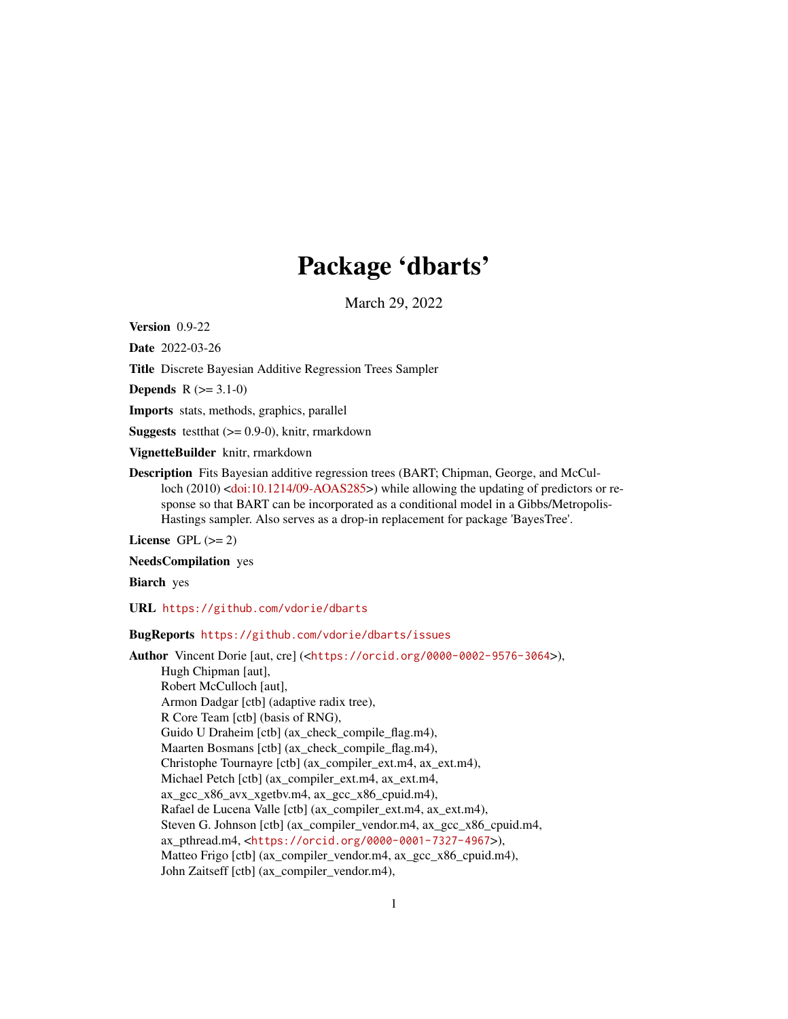# Package 'dbarts'

March 29, 2022

<span id="page-0-0"></span>Version 0.9-22

Date 2022-03-26

Title Discrete Bayesian Additive Regression Trees Sampler

**Depends**  $R (= 3.1-0)$ 

Imports stats, methods, graphics, parallel

**Suggests** testthat  $(>= 0.9-0)$ , knitr, rmarkdown

VignetteBuilder knitr, rmarkdown

Description Fits Bayesian additive regression trees (BART; Chipman, George, and McCul-loch (2010) [<doi:10.1214/09-AOAS285>](https://doi.org/10.1214/09-AOAS285)) while allowing the updating of predictors or response so that BART can be incorporated as a conditional model in a Gibbs/Metropolis-Hastings sampler. Also serves as a drop-in replacement for package 'BayesTree'.

License GPL  $(>= 2)$ 

NeedsCompilation yes

Biarch yes

URL <https://github.com/vdorie/dbarts>

#### BugReports <https://github.com/vdorie/dbarts/issues>

Author Vincent Dorie [aut, cre] (<<https://orcid.org/0000-0002-9576-3064>>), Hugh Chipman [aut], Robert McCulloch [aut], Armon Dadgar [ctb] (adaptive radix tree), R Core Team [ctb] (basis of RNG), Guido U Draheim [ctb] (ax\_check\_compile\_flag.m4), Maarten Bosmans [ctb] (ax\_check\_compile\_flag.m4), Christophe Tournayre [ctb] (ax\_compiler\_ext.m4, ax\_ext.m4), Michael Petch [ctb] (ax\_compiler\_ext.m4, ax\_ext.m4, ax gcc  $x86$  avx  $x$ getbv.m4, ax gcc  $x86$  cpuid.m4), Rafael de Lucena Valle [ctb] (ax\_compiler\_ext.m4, ax\_ext.m4), Steven G. Johnson [ctb] (ax\_compiler\_vendor.m4, ax\_gcc\_x86\_cpuid.m4, ax\_pthread.m4, <<https://orcid.org/0000-0001-7327-4967>>), Matteo Frigo [ctb] (ax\_compiler\_vendor.m4, ax\_gcc\_x86\_cpuid.m4), John Zaitseff [ctb] (ax\_compiler\_vendor.m4),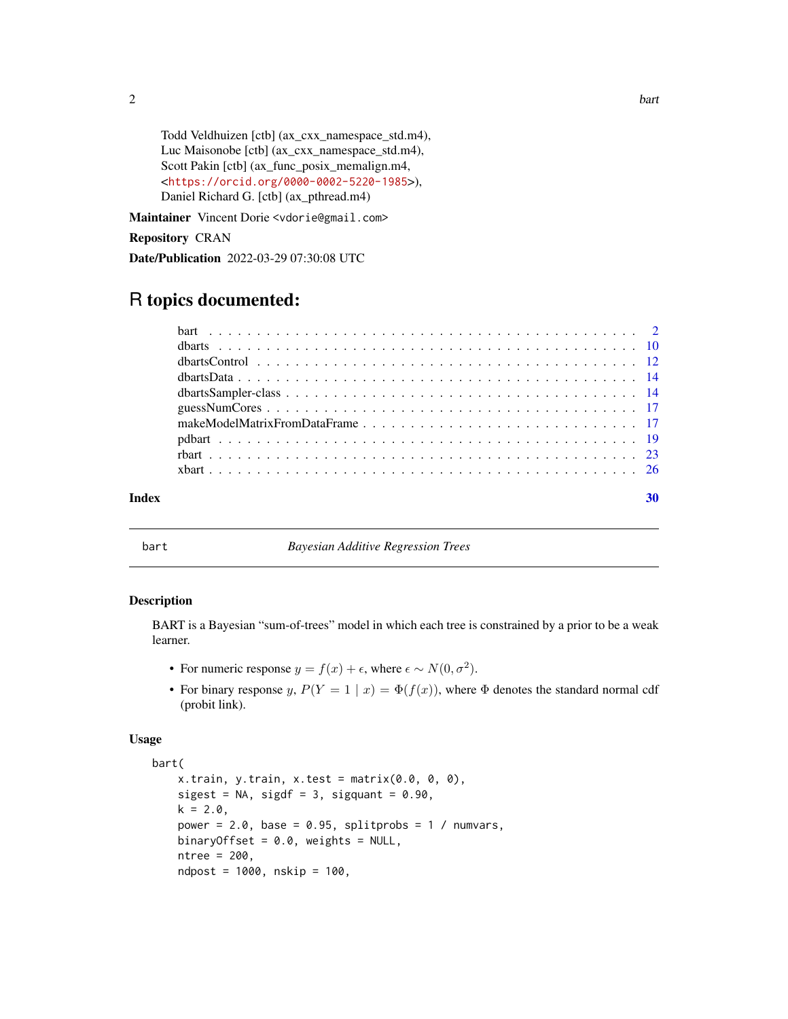Todd Veldhuizen [ctb] (ax\_cxx\_namespace\_std.m4), Luc Maisonobe [ctb] (ax\_cxx\_namespace\_std.m4), Scott Pakin [ctb] (ax\_func\_posix\_memalign.m4, <<https://orcid.org/0000-0002-5220-1985>>), Daniel Richard G. [ctb] (ax\_pthread.m4)

Maintainer Vincent Dorie <vdorie@gmail.com>

#### Repository CRAN

Date/Publication 2022-03-29 07:30:08 UTC

## R topics documented:

#### $\bf 30$  $\bf 30$

<span id="page-1-1"></span>

bart *Bayesian Additive Regression Trees*

#### <span id="page-1-2"></span>Description

BART is a Bayesian "sum-of-trees" model in which each tree is constrained by a prior to be a weak learner.

- For numeric response  $y = f(x) + \epsilon$ , where  $\epsilon \sim N(0, \sigma^2)$ .
- For binary response y,  $P(Y = 1 | x) = \Phi(f(x))$ , where  $\Phi$  denotes the standard normal cdf (probit link).

#### Usage

```
bart(
   x.train, y.train, x.test = matrix(0.0, 0, 0),
   sigest = NA, sigdf = 3, sigquant = 0.90,
   k = 2.0,
   power = 2.0, base = 0.95, splitprobs = 1 / numvars,
   binaryOffset = 0.0, weights = NULL,
   ntree = 200,
   ndpost = 1000, nskip = 100,
```
<span id="page-1-0"></span> $2$  bart  $\frac{1}{2}$  bart  $\frac{1}{2}$  bart  $\frac{1}{2}$  bart  $\frac{1}{2}$  bart  $\frac{1}{2}$  bart  $\frac{1}{2}$  bart  $\frac{1}{2}$  bart  $\frac{1}{2}$  bart  $\frac{1}{2}$  bart  $\frac{1}{2}$  bart  $\frac{1}{2}$  bart  $\frac{1}{2}$  bart  $\frac{1}{2}$  bart  $\frac{1}{2}$  bart  $\$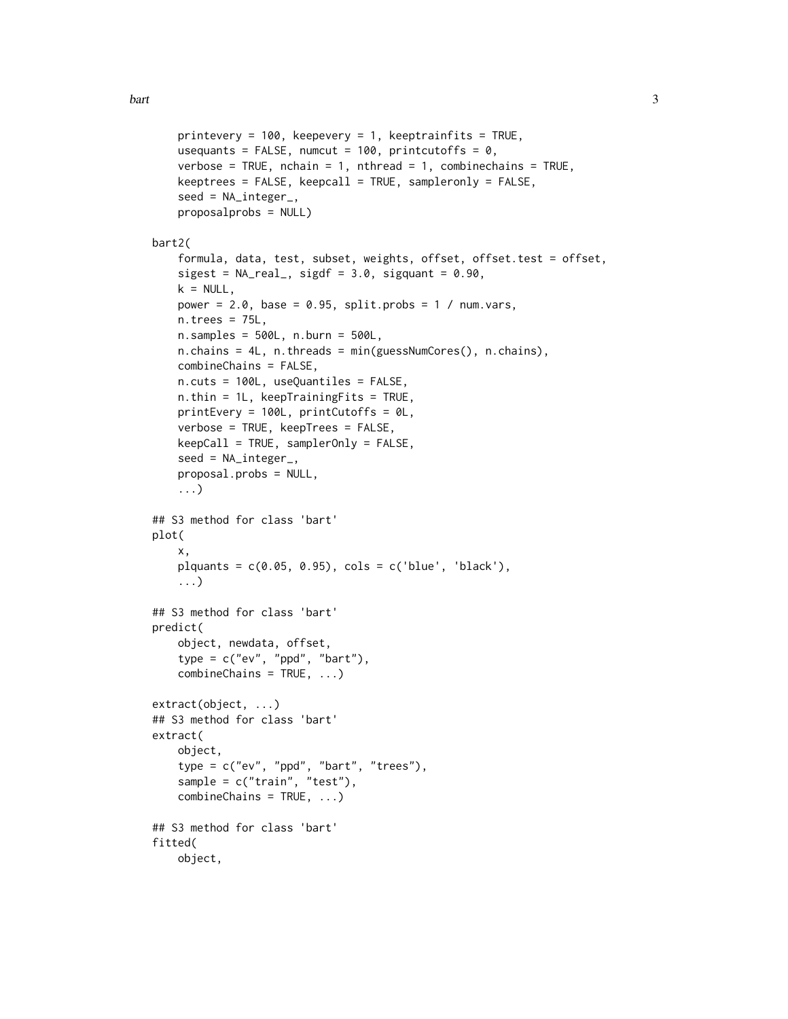```
printevery = 100, keepevery = 1, keeptrainfits = TRUE,
   usequants = FALSE, numcut = 100, printcutoffs = 0,
   verbose = TRUE, nchain = 1, nthread = 1, combinechains = TRUE,
   keeptrees = FALSE, keepcall = TRUE, sampleronly = FALSE,
    seed = NA_integer_,
   proposalprobs = NULL)
bart2(
   formula, data, test, subset, weights, offset, offset.test = offset,
   sigest = NA\_real_, sigdf = 3.0, sigquant = 0.90,
   k = NULL,power = 2.0, base = 0.95, split.probs = 1 / num.vars,
   n.trees = 75L,
   n.samples = 500L, n.burn = 500L,
   n.chains = 4L, n.threads = min(guessNumCores(), n.chains),
   combineChains = FALSE,
   n.cuts = 100L, useQuantiles = FALSE,
   n.thin = 1L, keepTrainingFits = TRUE,
   printEvery = 100L, printCutoffs = 0L,
   verbose = TRUE, keepTrees = FALSE,
   keepCall = TRUE, samplerOnly = FALSE,
   seed = NA_integer_,
   proposal.probs = NULL,
    ...)
## S3 method for class 'bart'
plot(
   x,
   plquants = c(0.05, 0.95), \ncols = c('blue', 'black'),...)
## S3 method for class 'bart'
predict(
   object, newdata, offset,
    type = c("ev", "ppd", "bart"),combineChains = TRUE, ...)
extract(object, ...)
## S3 method for class 'bart'
extract(
   object,
    type = c("ev", "ppd", "bart", "trees"),sample = c("train", "test"),
   combineChains = TRUE, ...)
## S3 method for class 'bart'
fitted(
   object,
```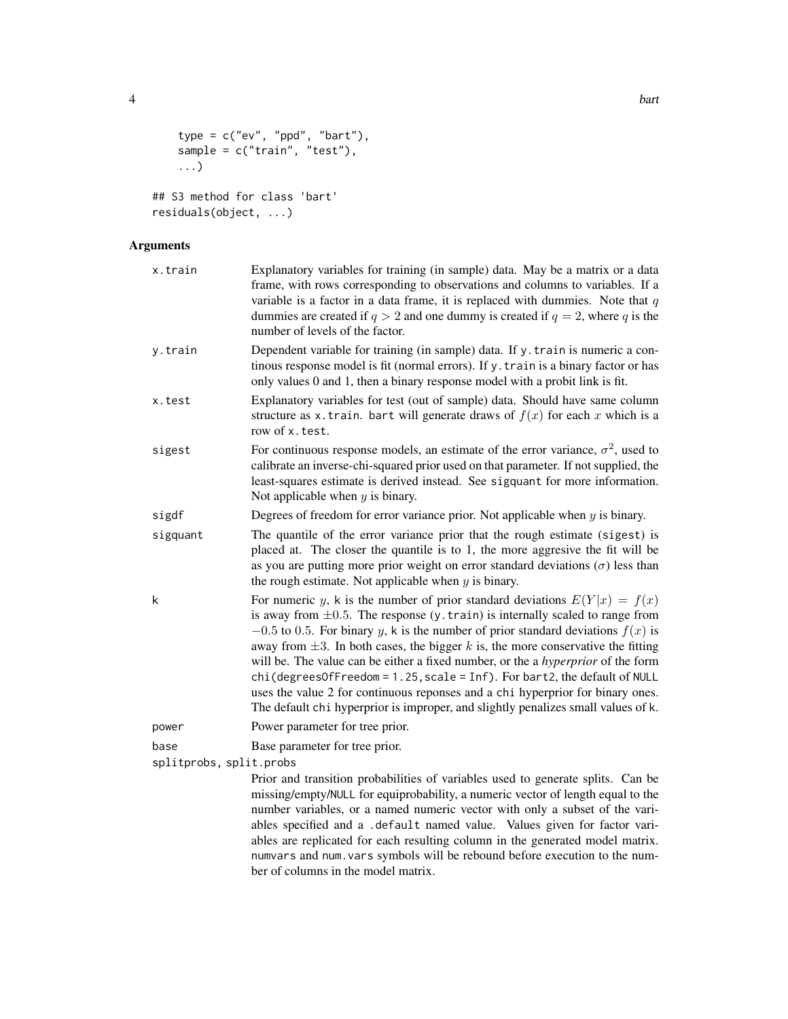```
type = c("ev", "ppd", "bart"),sample = c("train", "test"),
...)
```

```
## S3 method for class 'bart'
residuals(object, ...)
```
#### Arguments

| x.train                 | Explanatory variables for training (in sample) data. May be a matrix or a data<br>frame, with rows corresponding to observations and columns to variables. If a<br>variable is a factor in a data frame, it is replaced with dummies. Note that $q$<br>dummies are created if $q > 2$ and one dummy is created if $q = 2$ , where q is the<br>number of levels of the factor.                                                                                                                                                                                                                                                                                                                   |
|-------------------------|-------------------------------------------------------------------------------------------------------------------------------------------------------------------------------------------------------------------------------------------------------------------------------------------------------------------------------------------------------------------------------------------------------------------------------------------------------------------------------------------------------------------------------------------------------------------------------------------------------------------------------------------------------------------------------------------------|
| y.train                 | Dependent variable for training (in sample) data. If y. train is numeric a con-<br>tinous response model is fit (normal errors). If y. train is a binary factor or has<br>only values 0 and 1, then a binary response model with a probit link is fit.                                                                                                                                                                                                                                                                                                                                                                                                                                          |
| x.test                  | Explanatory variables for test (out of sample) data. Should have same column<br>structure as x. train. bart will generate draws of $f(x)$ for each x which is a<br>row of x. test.                                                                                                                                                                                                                                                                                                                                                                                                                                                                                                              |
| sigest                  | For continuous response models, an estimate of the error variance, $\sigma^2$ , used to<br>calibrate an inverse-chi-squared prior used on that parameter. If not supplied, the<br>least-squares estimate is derived instead. See sigquant for more information.<br>Not applicable when $y$ is binary.                                                                                                                                                                                                                                                                                                                                                                                           |
| sigdf                   | Degrees of freedom for error variance prior. Not applicable when $y$ is binary.                                                                                                                                                                                                                                                                                                                                                                                                                                                                                                                                                                                                                 |
| sigquant                | The quantile of the error variance prior that the rough estimate (sigest) is<br>placed at. The closer the quantile is to 1, the more aggresive the fit will be<br>as you are putting more prior weight on error standard deviations $(\sigma)$ less than<br>the rough estimate. Not applicable when $y$ is binary.                                                                                                                                                                                                                                                                                                                                                                              |
| k                       | For numeric y, k is the number of prior standard deviations $E(Y x) = f(x)$<br>is away from $\pm 0.5$ . The response (y. train) is internally scaled to range from<br>$-0.5$ to 0.5. For binary y, k is the number of prior standard deviations $f(x)$ is<br>away from $\pm 3$ . In both cases, the bigger k is, the more conservative the fitting<br>will be. The value can be either a fixed number, or the a hyperprior of the form<br>$chi$ (degrees Of Freedom = 1.25, scale = Inf). For bart2, the default of NULL<br>uses the value 2 for continuous reponses and a chi hyperprior for binary ones.<br>The default chi hyperprior is improper, and slightly penalizes small values of k. |
| power                   | Power parameter for tree prior.                                                                                                                                                                                                                                                                                                                                                                                                                                                                                                                                                                                                                                                                 |
| base                    | Base parameter for tree prior.                                                                                                                                                                                                                                                                                                                                                                                                                                                                                                                                                                                                                                                                  |
| splitprobs, split.probs |                                                                                                                                                                                                                                                                                                                                                                                                                                                                                                                                                                                                                                                                                                 |
|                         | Prior and transition probabilities of variables used to generate splits. Can be<br>missing/empty/NULL for equiprobability, a numeric vector of length equal to the<br>number variables, or a named numeric vector with only a subset of the vari-<br>ables specified and a .default named value. Values given for factor vari-<br>ables are replicated for each resulting column in the generated model matrix.<br>numvars and num. vars symbols will be rebound before execution to the num-                                                                                                                                                                                                   |

ber of columns in the model matrix.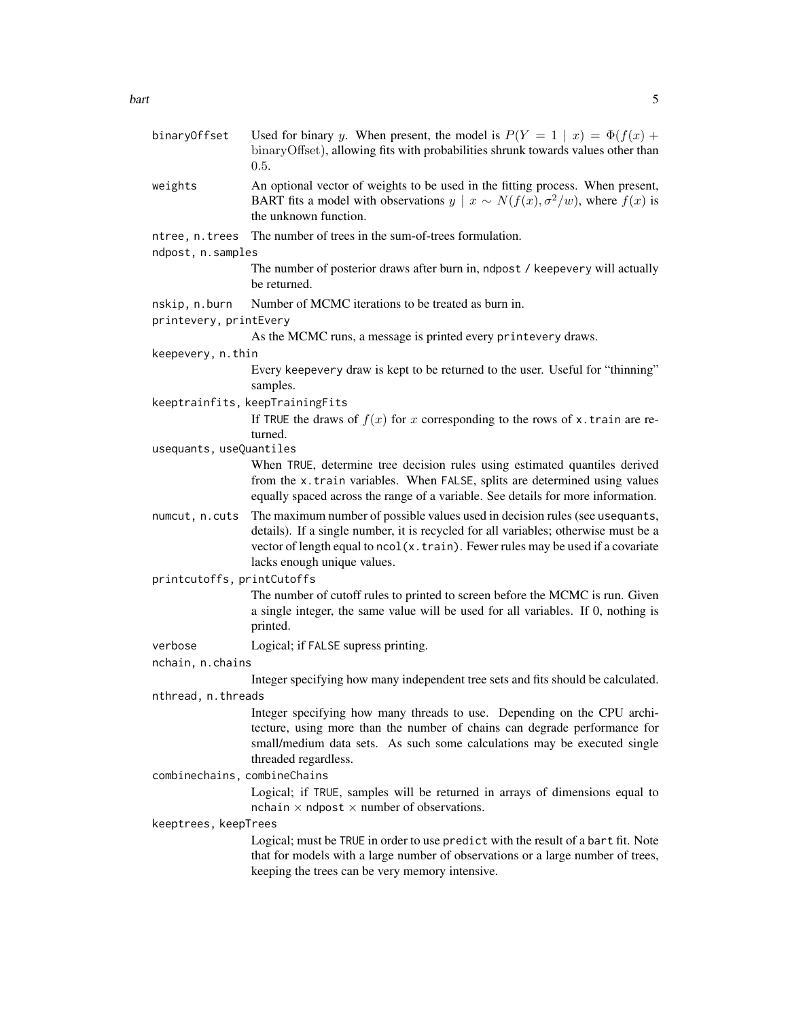- binaryOffset Used for binary y. When present, the model is  $P(Y = 1 \mid x) = \Phi(f(x))$ binaryOffset), allowing fits with probabilities shrunk towards values other than 0.5.
- weights An optional vector of weights to be used in the fitting process. When present, BART fits a model with observations  $y \mid x \sim N(f(x), \sigma^2/w)$ , where  $f(x)$  is the unknown function.
- ntree, n.trees The number of trees in the sum-of-trees formulation.
- ndpost, n.samples

The number of posterior draws after burn in, ndpost / keepevery will actually be returned.

- nskip, n.burn Number of MCMC iterations to be treated as burn in.
- printevery, printEvery

As the MCMC runs, a message is printed every printevery draws.

keepevery, n.thin

Every keepevery draw is kept to be returned to the user. Useful for "thinning" samples.

keeptrainfits, keepTrainingFits

If TRUE the draws of  $f(x)$  for x corresponding to the rows of x.train are returned.

usequants, useQuantiles

When TRUE, determine tree decision rules using estimated quantiles derived from the x.train variables. When FALSE, splits are determined using values equally spaced across the range of a variable. See details for more information.

numcut, n.cuts The maximum number of possible values used in decision rules (see usequants, details). If a single number, it is recycled for all variables; otherwise must be a vector of length equal to ncol(x.train). Fewer rules may be used if a covariate lacks enough unique values.

printcutoffs, printCutoffs

The number of cutoff rules to printed to screen before the MCMC is run. Given a single integer, the same value will be used for all variables. If 0, nothing is printed.

verbose Logical; if FALSE supress printing.

nchain, n.chains

Integer specifying how many independent tree sets and fits should be calculated.

nthread, n.threads

Integer specifying how many threads to use. Depending on the CPU architecture, using more than the number of chains can degrade performance for small/medium data sets. As such some calculations may be executed single threaded regardless.

combinechains, combineChains

Logical; if TRUE, samples will be returned in arrays of dimensions equal to nchain  $\times$  ndpost  $\times$  number of observations.

#### keeptrees, keepTrees

Logical; must be TRUE in order to use predict with the result of a bart fit. Note that for models with a large number of observations or a large number of trees, keeping the trees can be very memory intensive.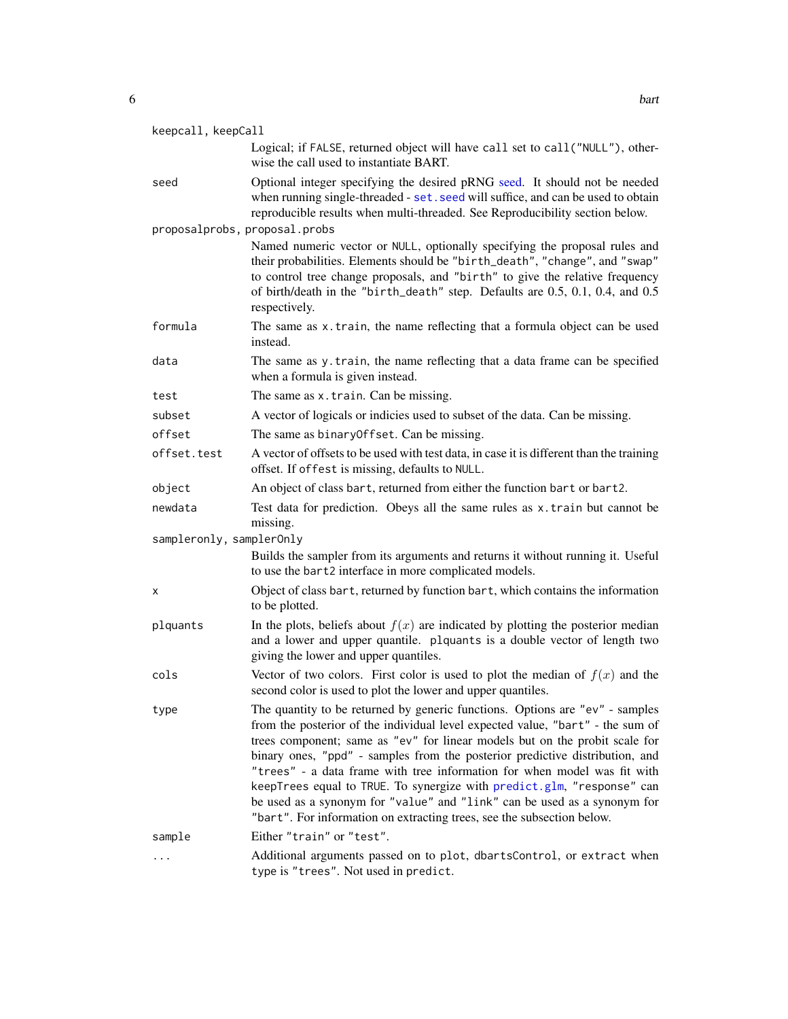<span id="page-5-0"></span>

| keepcall, keepCall            |                                                                                                                                                                                                                                                                                                                                                                                                                                                                                                                                                                                                                                           |  |
|-------------------------------|-------------------------------------------------------------------------------------------------------------------------------------------------------------------------------------------------------------------------------------------------------------------------------------------------------------------------------------------------------------------------------------------------------------------------------------------------------------------------------------------------------------------------------------------------------------------------------------------------------------------------------------------|--|
|                               | Logical; if FALSE, returned object will have call set to call ("NULL"), other-<br>wise the call used to instantiate BART.                                                                                                                                                                                                                                                                                                                                                                                                                                                                                                                 |  |
| seed                          | Optional integer specifying the desired pRNG seed. It should not be needed<br>when running single-threaded - set. seed will suffice, and can be used to obtain<br>reproducible results when multi-threaded. See Reproducibility section below.                                                                                                                                                                                                                                                                                                                                                                                            |  |
| proposalprobs, proposal.probs |                                                                                                                                                                                                                                                                                                                                                                                                                                                                                                                                                                                                                                           |  |
|                               | Named numeric vector or NULL, optionally specifying the proposal rules and<br>their probabilities. Elements should be "birth_death", "change", and "swap"<br>to control tree change proposals, and "birth" to give the relative frequency<br>of birth/death in the "birth_death" step. Defaults are 0.5, 0.1, 0.4, and 0.5<br>respectively.                                                                                                                                                                                                                                                                                               |  |
| formula                       | The same as x.train, the name reflecting that a formula object can be used<br>instead.                                                                                                                                                                                                                                                                                                                                                                                                                                                                                                                                                    |  |
| data                          | The same as y.train, the name reflecting that a data frame can be specified<br>when a formula is given instead.                                                                                                                                                                                                                                                                                                                                                                                                                                                                                                                           |  |
| test                          | The same as x.train. Can be missing.                                                                                                                                                                                                                                                                                                                                                                                                                                                                                                                                                                                                      |  |
| subset                        | A vector of logicals or indicies used to subset of the data. Can be missing.                                                                                                                                                                                                                                                                                                                                                                                                                                                                                                                                                              |  |
| offset                        | The same as binary Offset. Can be missing.                                                                                                                                                                                                                                                                                                                                                                                                                                                                                                                                                                                                |  |
| offset.test                   | A vector of offsets to be used with test data, in case it is different than the training<br>offset. If offest is missing, defaults to NULL.                                                                                                                                                                                                                                                                                                                                                                                                                                                                                               |  |
| object                        | An object of class bart, returned from either the function bart or bart2.                                                                                                                                                                                                                                                                                                                                                                                                                                                                                                                                                                 |  |
| newdata                       | Test data for prediction. Obeys all the same rules as x.train but cannot be<br>missing.                                                                                                                                                                                                                                                                                                                                                                                                                                                                                                                                                   |  |
| sampleronly, samplerOnly      |                                                                                                                                                                                                                                                                                                                                                                                                                                                                                                                                                                                                                                           |  |
|                               | Builds the sampler from its arguments and returns it without running it. Useful<br>to use the bart2 interface in more complicated models.                                                                                                                                                                                                                                                                                                                                                                                                                                                                                                 |  |
| х                             | Object of class bart, returned by function bart, which contains the information<br>to be plotted.                                                                                                                                                                                                                                                                                                                                                                                                                                                                                                                                         |  |
| plquants                      | In the plots, beliefs about $f(x)$ are indicated by plotting the posterior median<br>and a lower and upper quantile. plquants is a double vector of length two<br>giving the lower and upper quantiles.                                                                                                                                                                                                                                                                                                                                                                                                                                   |  |
| cols                          | Vector of two colors. First color is used to plot the median of $f(x)$ and the<br>second color is used to plot the lower and upper quantiles.                                                                                                                                                                                                                                                                                                                                                                                                                                                                                             |  |
| type                          | The quantity to be returned by generic functions. Options are "ev" - samples<br>from the posterior of the individual level expected value, "bart" - the sum of<br>trees component; same as "ev" for linear models but on the probit scale for<br>binary ones, "ppd" - samples from the posterior predictive distribution, and<br>"trees" - a data frame with tree information for when model was fit with<br>keepTrees equal to TRUE. To synergize with predict.glm, "response" can<br>be used as a synonym for "value" and "link" can be used as a synonym for<br>"bart". For information on extracting trees, see the subsection below. |  |
| sample                        | Either "train" or "test".                                                                                                                                                                                                                                                                                                                                                                                                                                                                                                                                                                                                                 |  |
|                               | Additional arguments passed on to plot, dbartsControl, or extract when<br>type is "trees". Not used in predict.                                                                                                                                                                                                                                                                                                                                                                                                                                                                                                                           |  |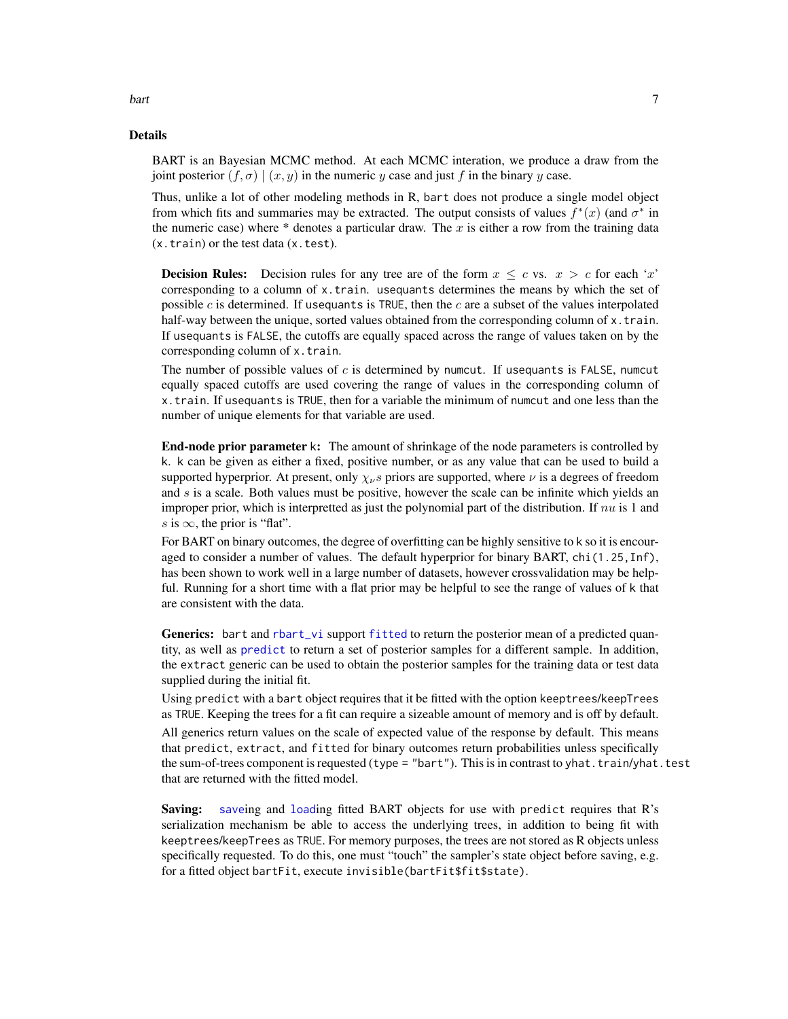#### Details

BART is an Bayesian MCMC method. At each MCMC interation, we produce a draw from the joint posterior  $(f, \sigma) | (x, y)$  in the numeric y case and just f in the binary y case.

Thus, unlike a lot of other modeling methods in R, bart does not produce a single model object from which fits and summaries may be extracted. The output consists of values  $f^*(x)$  (and  $\sigma^*$  in the numeric case) where  $*$  denotes a particular draw. The x is either a row from the training data (x.train) or the test data (x.test).

**Decision Rules:** Decision rules for any tree are of the form  $x \leq c$  vs.  $x > c$  for each 'x' corresponding to a column of x.train. usequants determines the means by which the set of possible  $c$  is determined. If usequants is TRUE, then the  $c$  are a subset of the values interpolated half-way between the unique, sorted values obtained from the corresponding column of x.train. If usequants is FALSE, the cutoffs are equally spaced across the range of values taken on by the corresponding column of x.train.

The number of possible values of  $c$  is determined by numcut. If usequants is FALSE, numcut equally spaced cutoffs are used covering the range of values in the corresponding column of x.train. If usequants is TRUE, then for a variable the minimum of numcut and one less than the number of unique elements for that variable are used.

End-node prior parameter k: The amount of shrinkage of the node parameters is controlled by k. k can be given as either a fixed, positive number, or as any value that can be used to build a supported hyperprior. At present, only  $\chi_{\nu} s$  priors are supported, where  $\nu$  is a degrees of freedom and s is a scale. Both values must be positive, however the scale can be infinite which yields an improper prior, which is interpretted as just the polynomial part of the distribution. If  $nu$  is 1 and s is  $\infty$ , the prior is "flat".

For BART on binary outcomes, the degree of overfitting can be highly sensitive to k so it is encouraged to consider a number of values. The default hyperprior for binary BART, chi(1.25, Inf), has been shown to work well in a large number of datasets, however crossvalidation may be helpful. Running for a short time with a flat prior may be helpful to see the range of values of k that are consistent with the data.

Generics: bart and [rbart\\_vi](#page-22-1) support [fitted](#page-0-0) to return the posterior mean of a predicted quantity, as well as [predict](#page-0-0) to return a set of posterior samples for a different sample. In addition, the extract generic can be used to obtain the posterior samples for the training data or test data supplied during the initial fit.

Using predict with a bart object requires that it be fitted with the option keeptrees/keepTrees as TRUE. Keeping the trees for a fit can require a sizeable amount of memory and is off by default.

All generics return values on the scale of expected value of the response by default. This means that predict, extract, and fitted for binary outcomes return probabilities unless specifically the sum-of-trees component is requested (type = "bart"). This is in contrast to yhat.train/yhat.test that are returned with the fitted model.

Saving: [save](#page-0-0)ing and [load](#page-0-0)ing fitted BART objects for use with predict requires that R's serialization mechanism be able to access the underlying trees, in addition to being fit with keeptrees/keepTrees as TRUE. For memory purposes, the trees are not stored as R objects unless specifically requested. To do this, one must "touch" the sampler's state object before saving, e.g. for a fitted object bartFit, execute invisible(bartFit\$fit\$state).

<span id="page-6-0"></span>bart 7 and 7 and 7 and 7 and 7 and 7 and 7 and 7 and 7 and 7 and 7 and 7 and 7 and 7 and 7 and 7 and 7 and 7 and 7 and 7 and 7 and 7 and 7 and 7 and 7 and 7 and 7 and 7 and 7 and 7 and 7 and 7 and 7 and 7 and 7 and 7 and 7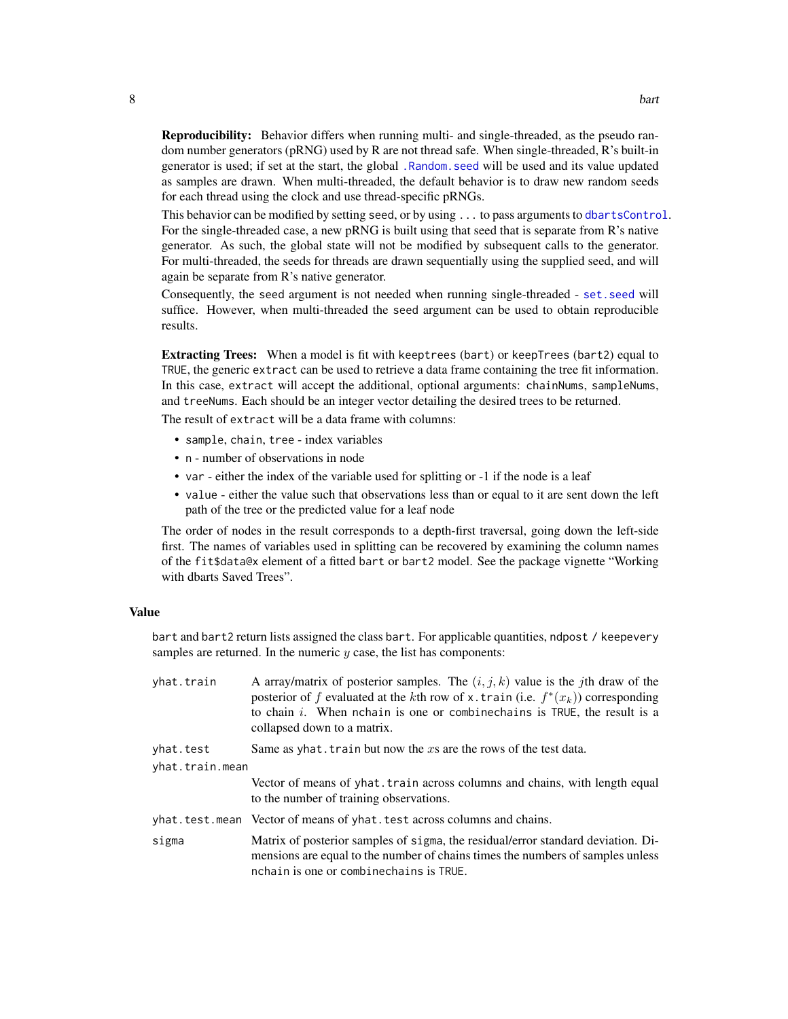<span id="page-7-0"></span>Reproducibility: Behavior differs when running multi- and single-threaded, as the pseudo random number generators (pRNG) used by R are not thread safe. When single-threaded, R's built-in generator is used; if set at the start, the global [.Random.seed](#page-0-0) will be used and its value updated as samples are drawn. When multi-threaded, the default behavior is to draw new random seeds for each thread using the clock and use thread-specific pRNGs.

This behavior can be modified by setting seed, or by using ... to pass arguments to [dbartsControl](#page-11-1). For the single-threaded case, a new pRNG is built using that seed that is separate from R's native generator. As such, the global state will not be modified by subsequent calls to the generator. For multi-threaded, the seeds for threads are drawn sequentially using the supplied seed, and will again be separate from R's native generator.

Consequently, the seed argument is not needed when running single-threaded - [set.seed](#page-0-0) will suffice. However, when multi-threaded the seed argument can be used to obtain reproducible results.

Extracting Trees: When a model is fit with keeptrees (bart) or keepTrees (bart2) equal to TRUE, the generic extract can be used to retrieve a data frame containing the tree fit information. In this case, extract will accept the additional, optional arguments: chainNums, sampleNums, and treeNums. Each should be an integer vector detailing the desired trees to be returned.

The result of extract will be a data frame with columns:

- sample, chain, tree index variables
- n number of observations in node
- var either the index of the variable used for splitting or -1 if the node is a leaf
- value either the value such that observations less than or equal to it are sent down the left path of the tree or the predicted value for a leaf node

The order of nodes in the result corresponds to a depth-first traversal, going down the left-side first. The names of variables used in splitting can be recovered by examining the column names of the fit\$data@x element of a fitted bart or bart2 model. See the package vignette "Working with dbarts Saved Trees".

#### Value

bart and bart2 return lists assigned the class bart. For applicable quantities, ndpost / keepevery samples are returned. In the numeric  $y$  case, the list has components:

| yhat.train                   | A array/matrix of posterior samples. The $(i, j, k)$ value is the jth draw of the<br>posterior of f evaluated at the kth row of x. train (i.e. $f^*(x_k)$ ) corresponding<br>to chain $i$ . When nchain is one or combine chains is TRUE, the result is a<br>collapsed down to a matrix. |
|------------------------------|------------------------------------------------------------------------------------------------------------------------------------------------------------------------------------------------------------------------------------------------------------------------------------------|
| yhat.test<br>yhat.train.mean | Same as yhat. train but now the x are the rows of the test data.                                                                                                                                                                                                                         |
|                              | Vector of means of yhat. train across columns and chains, with length equal<br>to the number of training observations.                                                                                                                                                                   |
|                              | yhat. test. mean Vector of means of yhat. test across columns and chains.                                                                                                                                                                                                                |
| sigma                        | Matrix of posterior samples of sigma, the residual/error standard deviation. Di-<br>mensions are equal to the number of chains times the numbers of samples unless<br>nchain is one or combinechains is TRUE.                                                                            |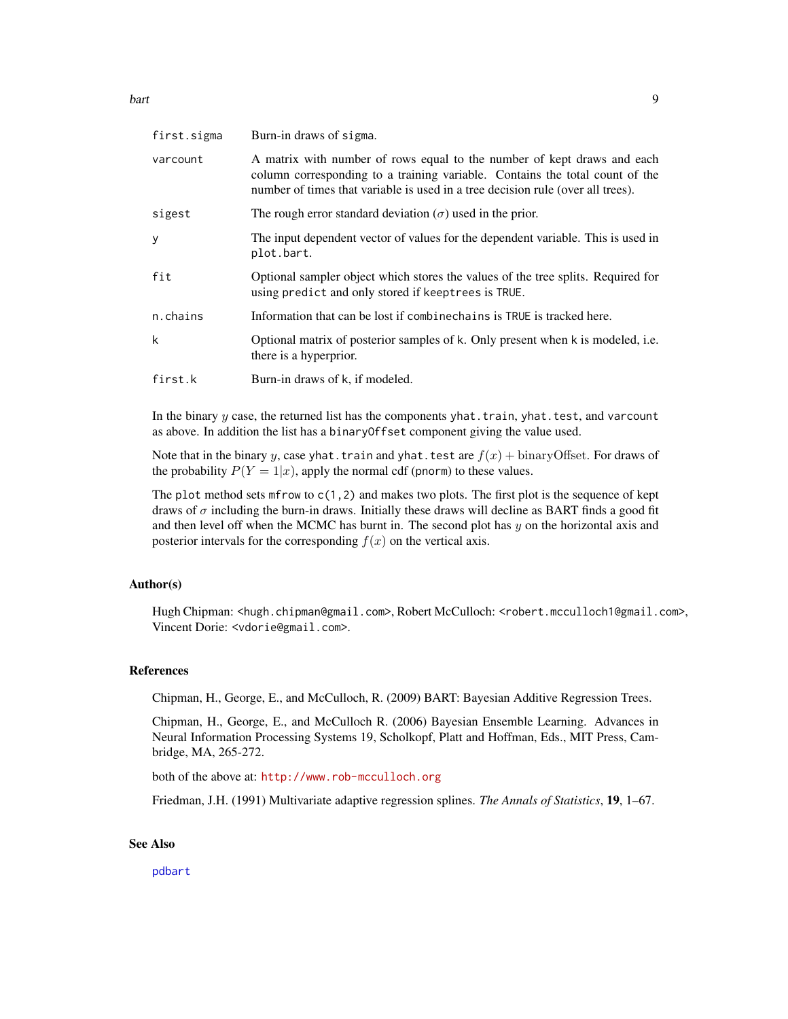<span id="page-8-0"></span>bart 2008 bart 2008 and 2008 bart 2008 bart 2008 bart 2008 bart 2008 bart 2008 bart 2008 bart 2008 bart 2008 b

| first.sigma | Burn-in draws of sigma.                                                                                                                                                                                                                    |
|-------------|--------------------------------------------------------------------------------------------------------------------------------------------------------------------------------------------------------------------------------------------|
| varcount    | A matrix with number of rows equal to the number of kept draws and each<br>column corresponding to a training variable. Contains the total count of the<br>number of times that variable is used in a tree decision rule (over all trees). |
| sigest      | The rough error standard deviation ( $\sigma$ ) used in the prior.                                                                                                                                                                         |
| y           | The input dependent vector of values for the dependent variable. This is used in<br>plot.bart.                                                                                                                                             |
| fit         | Optional sampler object which stores the values of the tree splits. Required for<br>using predict and only stored if keeptrees is TRUE.                                                                                                    |
| n.chains    | Information that can be lost if combine chains is TRUE is tracked here.                                                                                                                                                                    |
| k           | Optional matrix of posterior samples of k. Only present when k is modeled, i.e.<br>there is a hyperprior.                                                                                                                                  |
| first.k     | Burn-in draws of k, if modeled.                                                                                                                                                                                                            |
|             |                                                                                                                                                                                                                                            |

In the binary  $y$  case, the returned list has the components yhat.train, yhat.test, and varcount as above. In addition the list has a binaryOffset component giving the value used.

Note that in the binary y, case yhat. train and yhat. test are  $f(x)$  + binaryOffset. For draws of the probability  $P(Y = 1|x)$ , apply the normal cdf (pnorm) to these values.

The plot method sets mfrow to  $c(1,2)$  and makes two plots. The first plot is the sequence of kept draws of  $\sigma$  including the burn-in draws. Initially these draws will decline as BART finds a good fit and then level off when the MCMC has burnt in. The second plot has  $y$  on the horizontal axis and posterior intervals for the corresponding  $f(x)$  on the vertical axis.

#### Author(s)

Hugh Chipman: <hugh.chipman@gmail.com>, Robert McCulloch: <robert.mcculloch1@gmail.com>, Vincent Dorie: <vdorie@gmail.com>.

#### References

Chipman, H., George, E., and McCulloch, R. (2009) BART: Bayesian Additive Regression Trees.

Chipman, H., George, E., and McCulloch R. (2006) Bayesian Ensemble Learning. Advances in Neural Information Processing Systems 19, Scholkopf, Platt and Hoffman, Eds., MIT Press, Cambridge, MA, 265-272.

both of the above at: <http://www.rob-mcculloch.org>

Friedman, J.H. (1991) Multivariate adaptive regression splines. *The Annals of Statistics*, 19, 1–67.

#### See Also

[pdbart](#page-18-1)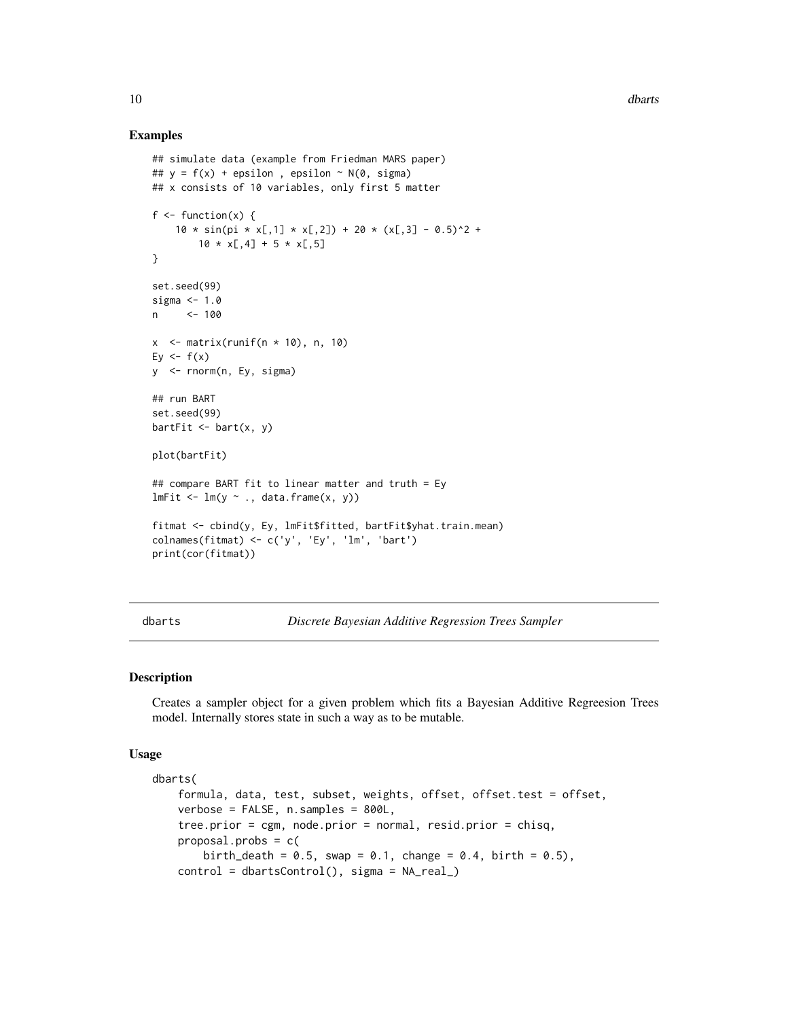#### Examples

```
## simulate data (example from Friedman MARS paper)
## y = f(x) + epsilon, epsilon ~ N(0, sigma)
## x consists of 10 variables, only first 5 matter
f \leftarrow function(x) {
    10 \times \sin(\pi x \times [0,1] \times \pi,2) + 20 \times (\pi,3] - 0.5)^2 +
        10 \times x[, 4] + 5 \times x[, 5]}
set.seed(99)
sigma <- 1.0
n <- 100
x \le - matrix(runif(n * 10), n, 10)
Ey \leftarrow f(x)y <- rnorm(n, Ey, sigma)
## run BART
set.seed(99)
bartFit \leq bart(x, y)plot(bartFit)
## compare BART fit to linear matter and truth = Ey
lmFit < - lm(y ~ ~ ., data-frame(x, y))fitmat <- cbind(y, Ey, lmFit$fitted, bartFit$yhat.train.mean)
colnames(fitmat) <- c('y', 'Ey', 'lm', 'bart')
print(cor(fitmat))
```
<span id="page-9-1"></span>dbarts *Discrete Bayesian Additive Regression Trees Sampler*

#### Description

Creates a sampler object for a given problem which fits a Bayesian Additive Regreesion Trees model. Internally stores state in such a way as to be mutable.

#### Usage

```
dbarts(
    formula, data, test, subset, weights, offset, offset.test = offset,
   verbose = FALSE, n.samples = 800L,
   tree.prior = cgm, node.prior = normal, resid.prior = chisq,
   proposal.probs = c(
       birth_death = 0.5, swap = 0.1, change = 0.4, birth = 0.5),
   control = dbartsControl(), sigma = NA_real_)
```
<span id="page-9-0"></span>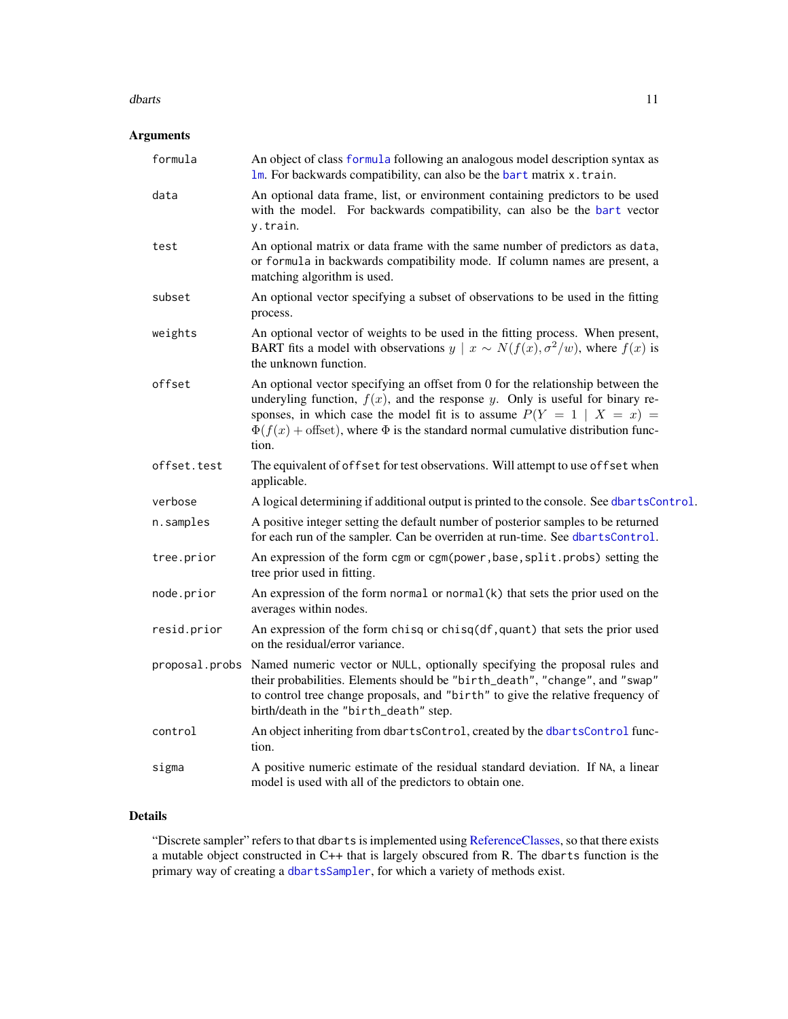#### <span id="page-10-0"></span>dbarts and the contract of the contract of the contract of the contract of the contract of the contract of the contract of the contract of the contract of the contract of the contract of the contract of the contract of the

#### Arguments

| formula        | An object of class formula following an analogous model description syntax as<br>$lm.$ For backwards compatibility, can also be the bart matrix $x$ . train.                                                                                                                                                                                       |
|----------------|----------------------------------------------------------------------------------------------------------------------------------------------------------------------------------------------------------------------------------------------------------------------------------------------------------------------------------------------------|
| data           | An optional data frame, list, or environment containing predictors to be used<br>with the model. For backwards compatibility, can also be the bart vector<br>y.train.                                                                                                                                                                              |
| test           | An optional matrix or data frame with the same number of predictors as data,<br>or formula in backwards compatibility mode. If column names are present, a<br>matching algorithm is used.                                                                                                                                                          |
| subset         | An optional vector specifying a subset of observations to be used in the fitting<br>process.                                                                                                                                                                                                                                                       |
| weights        | An optional vector of weights to be used in the fitting process. When present,<br>BART fits a model with observations $y \mid x \sim N(f(x), \sigma^2/w)$ , where $f(x)$ is<br>the unknown function.                                                                                                                                               |
| offset         | An optional vector specifying an offset from 0 for the relationship between the<br>underyling function, $f(x)$ , and the response y. Only is useful for binary re-<br>sponses, in which case the model fit is to assume $P(Y = 1   X = x) =$<br>$\Phi(f(x))$ + offset), where $\Phi$ is the standard normal cumulative distribution func-<br>tion. |
| offset.test    | The equivalent of offset for test observations. Will attempt to use offset when<br>applicable.                                                                                                                                                                                                                                                     |
| verbose        | A logical determining if additional output is printed to the console. See dbartsControl.                                                                                                                                                                                                                                                           |
| n.samples      | A positive integer setting the default number of posterior samples to be returned<br>for each run of the sampler. Can be overriden at run-time. See dbartsControl.                                                                                                                                                                                 |
| tree.prior     | An expression of the form cgm or cgm(power, base, split.probs) setting the<br>tree prior used in fitting.                                                                                                                                                                                                                                          |
| node.prior     | An expression of the form normal or normal $(k)$ that sets the prior used on the<br>averages within nodes.                                                                                                                                                                                                                                         |
| resid.prior    | An expression of the form chisq or chisq(df, quant) that sets the prior used<br>on the residual/error variance.                                                                                                                                                                                                                                    |
| proposal.probs | Named numeric vector or NULL, optionally specifying the proposal rules and<br>their probabilities. Elements should be "birth_death", "change", and "swap"<br>to control tree change proposals, and "birth" to give the relative frequency of<br>birth/death in the "birth_death" step.                                                             |
| control        | An object inheriting from dbartsControl, created by the dbartsControl func-<br>tion.                                                                                                                                                                                                                                                               |
| sigma          | A positive numeric estimate of the residual standard deviation. If NA, a linear<br>model is used with all of the predictors to obtain one.                                                                                                                                                                                                         |

#### Details

"Discrete sampler" refers to that dbarts is implemented using [ReferenceClasses,](#page-0-0) so that there exists a mutable object constructed in C++ that is largely obscured from R. The dbarts function is the primary way of creating a [dbartsSampler](#page-13-1), for which a variety of methods exist.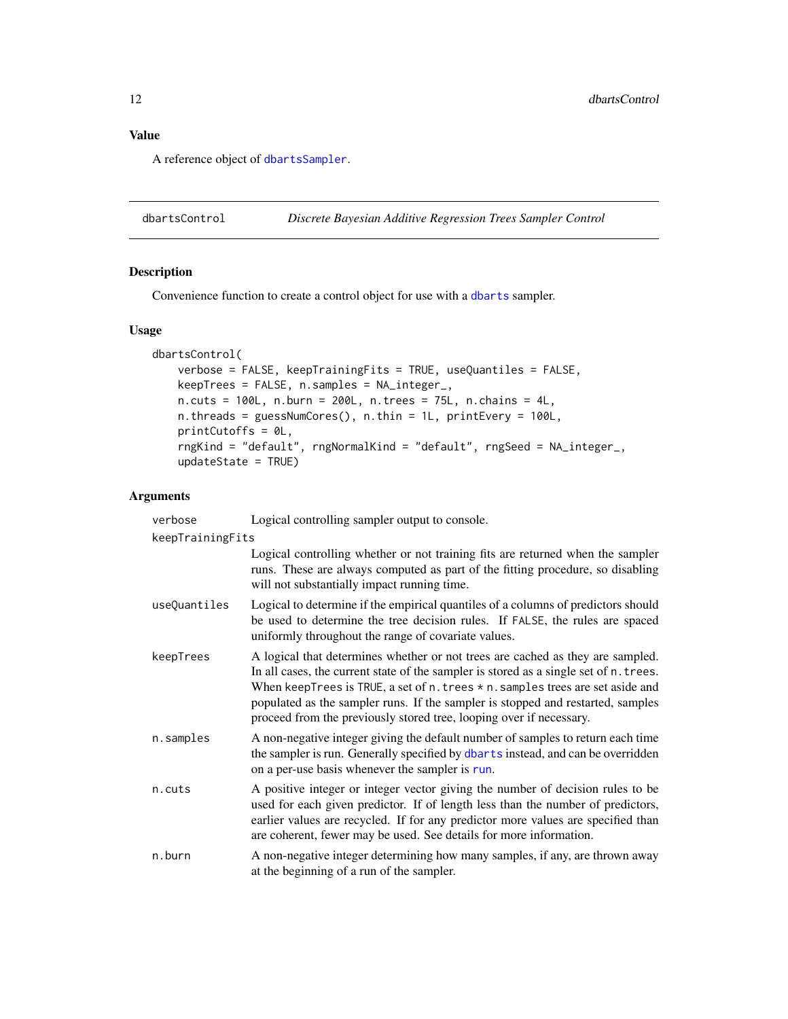#### <span id="page-11-0"></span>Value

A reference object of [dbartsSampler](#page-13-1).

<span id="page-11-1"></span>dbartsControl *Discrete Bayesian Additive Regression Trees Sampler Control*

#### Description

Convenience function to create a control object for use with a [dbarts](#page-9-1) sampler.

#### Usage

```
dbartsControl(
   verbose = FALSE, keepTrainingFits = TRUE, useQuantiles = FALSE,
   keepTrees = FALSE, n.samples = NA_integer_,
   n.cuts = 100L, n.burn = 200L, n.trees = 75L, n.chains = 4L,
   n.threads = guessNumCores(), n.thin = 1L, printEvery = 100L,
   printCutoffs = 0L,
   rngKind = "default", rngNormalKind = "default", rngSeed = NA_integer_,
   updateState = TRUE)
```
#### Arguments

| verbose          | Logical controlling sampler output to console.                                                                                                                                                                                                                                                                                                                                                                           |
|------------------|--------------------------------------------------------------------------------------------------------------------------------------------------------------------------------------------------------------------------------------------------------------------------------------------------------------------------------------------------------------------------------------------------------------------------|
| keepTrainingFits |                                                                                                                                                                                                                                                                                                                                                                                                                          |
|                  | Logical controlling whether or not training fits are returned when the sampler<br>runs. These are always computed as part of the fitting procedure, so disabling<br>will not substantially impact running time.                                                                                                                                                                                                          |
| useQuantiles     | Logical to determine if the empirical quantiles of a columns of predictors should<br>be used to determine the tree decision rules. If FALSE, the rules are spaced<br>uniformly throughout the range of covariate values.                                                                                                                                                                                                 |
| keepTrees        | A logical that determines whether or not trees are cached as they are sampled.<br>In all cases, the current state of the sampler is stored as a single set of n. trees.<br>When keepTrees is TRUE, a set of $n$ . trees $*$ n. samples trees are set aside and<br>populated as the sampler runs. If the sampler is stopped and restarted, samples<br>proceed from the previously stored tree, looping over if necessary. |
| n.samples        | A non-negative integer giving the default number of samples to return each time<br>the sampler is run. Generally specified by dbarts instead, and can be overridden<br>on a per-use basis whenever the sampler is run.                                                                                                                                                                                                   |
| n.cuts           | A positive integer or integer vector giving the number of decision rules to be<br>used for each given predictor. If of length less than the number of predictors,<br>earlier values are recycled. If for any predictor more values are specified than<br>are coherent, fewer may be used. See details for more information.                                                                                              |
| n.burn           | A non-negative integer determining how many samples, if any, are thrown away<br>at the beginning of a run of the sampler.                                                                                                                                                                                                                                                                                                |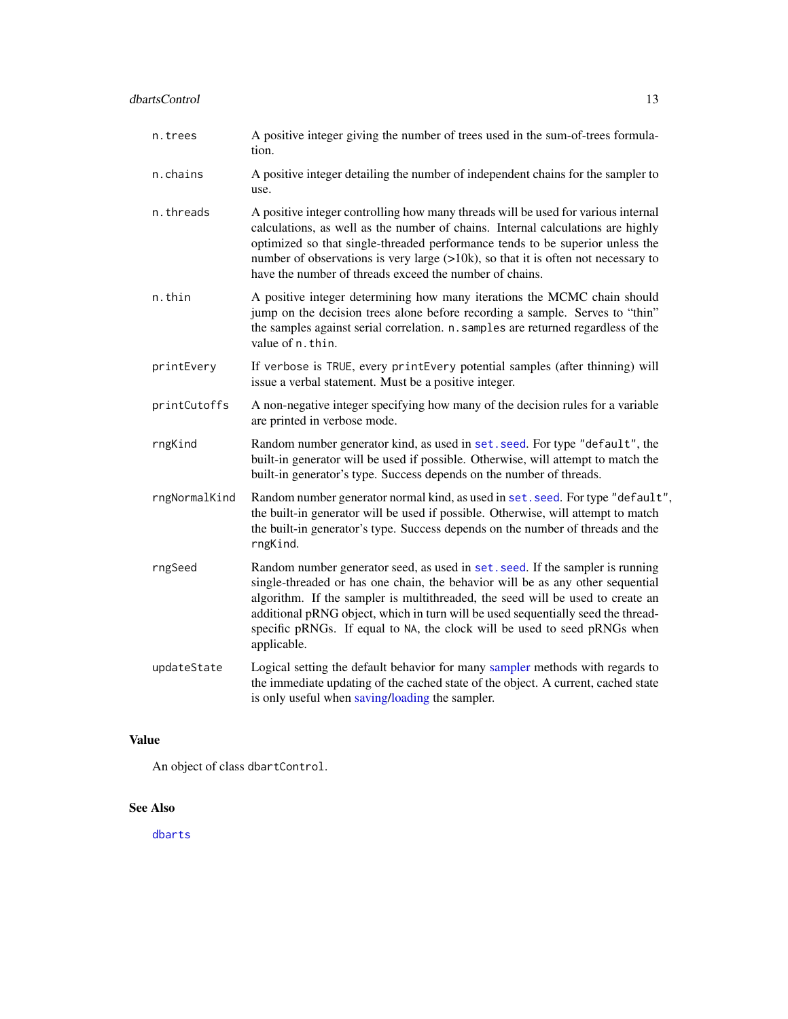<span id="page-12-0"></span>

| n.trees | A positive integer giving the number of trees used in the sum-of-trees formula- |
|---------|---------------------------------------------------------------------------------|
|         | tion.                                                                           |

- n.chains A positive integer detailing the number of independent chains for the sampler to use.
- n.threads A positive integer controlling how many threads will be used for various internal calculations, as well as the number of chains. Internal calculations are highly optimized so that single-threaded performance tends to be superior unless the number of observations is very large  $(>10k)$ , so that it is often not necessary to have the number of threads exceed the number of chains.
- n.thin A positive integer determining how many iterations the MCMC chain should jump on the decision trees alone before recording a sample. Serves to "thin" the samples against serial correlation. n.samples are returned regardless of the value of n.thin.
- printEvery If verbose is TRUE, every printEvery potential samples (after thinning) will issue a verbal statement. Must be a positive integer.
- printCutoffs A non-negative integer specifying how many of the decision rules for a variable are printed in verbose mode.
- rngKind Random number generator kind, as used in [set.seed](#page-0-0). For type "default", the built-in generator will be used if possible. Otherwise, will attempt to match the built-in generator's type. Success depends on the number of threads.
- rngNormalKind Random number generator normal kind, as used in [set.seed](#page-0-0). For type "default", the built-in generator will be used if possible. Otherwise, will attempt to match the built-in generator's type. Success depends on the number of threads and the rngKind.
- rngSeed Random number generator seed, as used in [set.seed](#page-0-0). If the sampler is running single-threaded or has one chain, the behavior will be as any other sequential algorithm. If the sampler is multithreaded, the seed will be used to create an additional pRNG object, which in turn will be used sequentially seed the threadspecific pRNGs. If equal to NA, the clock will be used to seed pRNGs when applicable.
- updateState Logical setting the default behavior for many [sampler](#page-13-1) methods with regards to the immediate updating of the cached state of the object. A current, cached state is only useful when [saving/loading](#page-0-0) the sampler.

#### Value

An object of class dbartControl.

#### See Also

[dbarts](#page-9-1)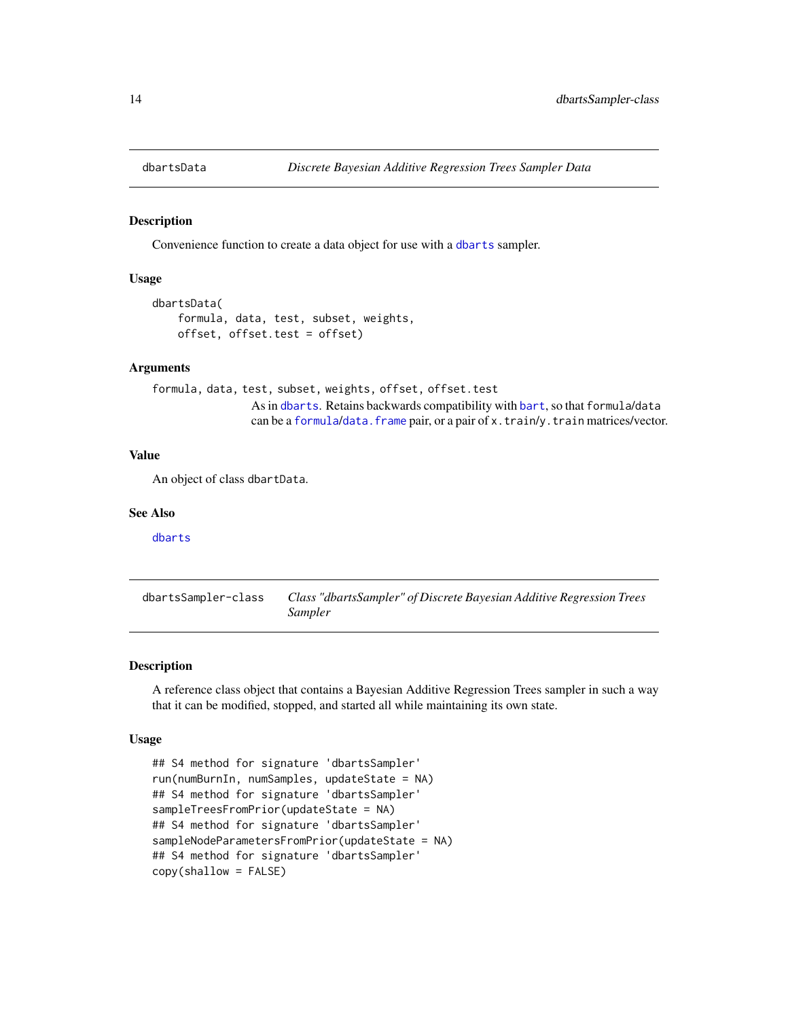<span id="page-13-2"></span><span id="page-13-0"></span>

#### Description

Convenience function to create a data object for use with a [dbarts](#page-9-1) sampler.

#### Usage

```
dbartsData(
    formula, data, test, subset, weights,
    offset, offset.test = offset)
```
#### Arguments

formula, data, test, [subset,](#page-9-1) weights, offset, offset.test As in d[bart](#page-1-1)s. Retains backwards compatibility with bart, so that formula/data can be a [formula](#page-0-0)/[data.frame](#page-0-0) pair, or a pair of x.train/y.train matrices/vector.

#### Value

An object of class dbartData.

#### See Also

[dbarts](#page-9-1)

<span id="page-13-1"></span>dbartsSampler-class *Class "dbartsSampler" of Discrete Bayesian Additive Regression Trees Sampler*

#### <span id="page-13-3"></span>Description

A reference class object that contains a Bayesian Additive Regression Trees sampler in such a way that it can be modified, stopped, and started all while maintaining its own state.

#### Usage

```
## S4 method for signature 'dbartsSampler'
run(numBurnIn, numSamples, updateState = NA)
## S4 method for signature 'dbartsSampler'
sampleTreesFromPrior(updateState = NA)
## S4 method for signature 'dbartsSampler'
sampleNodeParametersFromPrior(updateState = NA)
## S4 method for signature 'dbartsSampler'
copy(shallow = FALSE)
```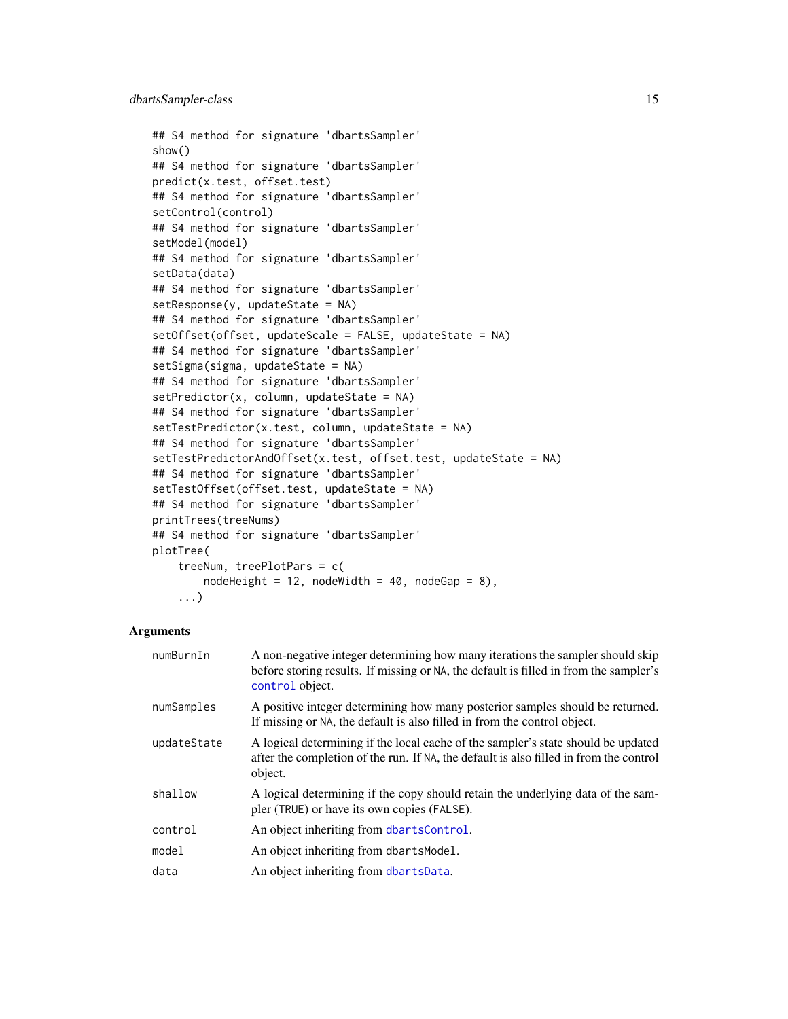```
## S4 method for signature 'dbartsSampler'
show()
## S4 method for signature 'dbartsSampler'
predict(x.test, offset.test)
## S4 method for signature 'dbartsSampler'
setControl(control)
## S4 method for signature 'dbartsSampler'
setModel(model)
## S4 method for signature 'dbartsSampler'
setData(data)
## S4 method for signature 'dbartsSampler'
setResponse(y, updateState = NA)
## S4 method for signature 'dbartsSampler'
setOffset(offset, updateScale = FALSE, updateState = NA)
## S4 method for signature 'dbartsSampler'
setSigma(sigma, updateState = NA)
## S4 method for signature 'dbartsSampler'
setPredictor(x, column, updateState = NA)## S4 method for signature 'dbartsSampler'
setTestPredictor(x.test, column, updateState = NA)
## S4 method for signature 'dbartsSampler'
setTestPredictorAndOffset(x.test, offset.test, updateState = NA)
## S4 method for signature 'dbartsSampler'
setTestOffset(offset.test, updateState = NA)
## S4 method for signature 'dbartsSampler'
printTrees(treeNums)
## S4 method for signature 'dbartsSampler'
plotTree(
    treeNum, treePlotPars = c(
       nodeHeight = 12, nodeWidth = 40, nodeGap = 8),
```

```
...)
```
#### Arguments

| numBurnIn   | A non-negative integer determining how many iterations the sampler should skip<br>before storing results. If missing or NA, the default is filled in from the sampler's<br>control object. |
|-------------|--------------------------------------------------------------------------------------------------------------------------------------------------------------------------------------------|
| numSamples  | A positive integer determining how many posterior samples should be returned.<br>If missing or NA, the default is also filled in from the control object.                                  |
| updateState | A logical determining if the local cache of the sampler's state should be updated<br>after the completion of the run. If NA, the default is also filled in from the control<br>object.     |
| shallow     | A logical determining if the copy should retain the underlying data of the sam-<br>pler (TRUE) or have its own copies (FALSE).                                                             |
| control     | An object inheriting from dbartsControl.                                                                                                                                                   |
| model       | An object inheriting from dbartsModel.                                                                                                                                                     |
| data        | An object inheriting from dbartsData.                                                                                                                                                      |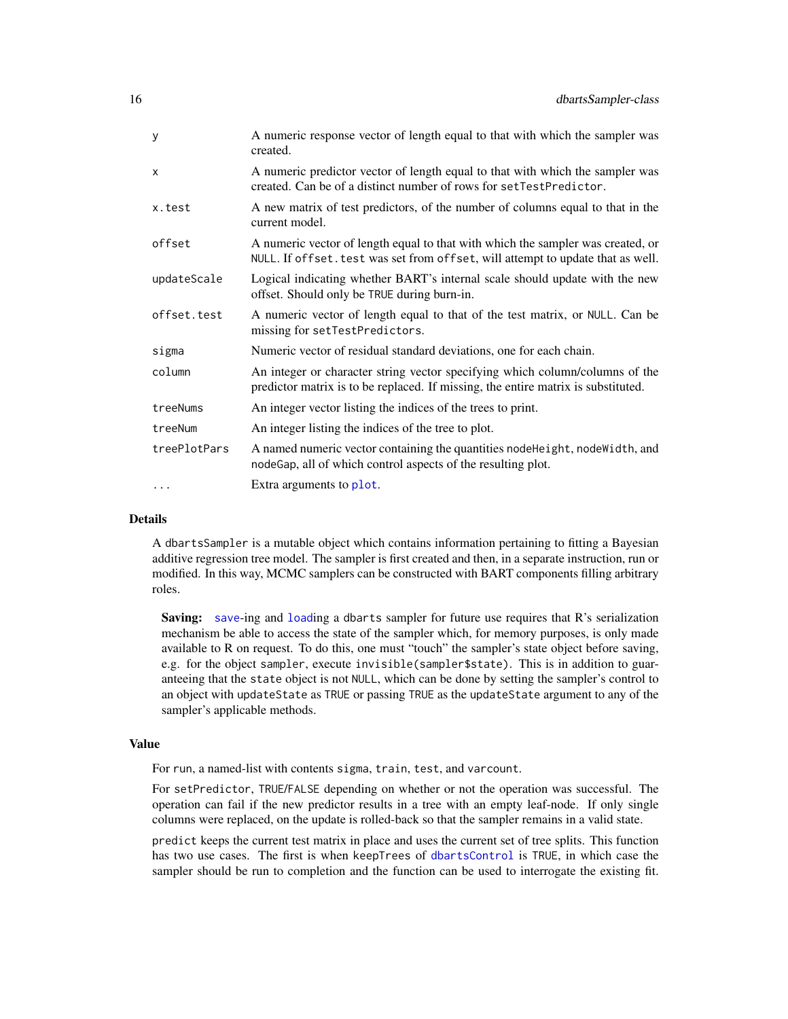<span id="page-15-0"></span>

| A numeric response vector of length equal to that with which the sampler was<br>created.                                                                           |
|--------------------------------------------------------------------------------------------------------------------------------------------------------------------|
| A numeric predictor vector of length equal to that with which the sampler was<br>created. Can be of a distinct number of rows for setTestPredictor.                |
| A new matrix of test predictors, of the number of columns equal to that in the<br>current model.                                                                   |
| A numeric vector of length equal to that with which the sampler was created, or<br>NULL. If offset. test was set from offset, will attempt to update that as well. |
| Logical indicating whether BART's internal scale should update with the new<br>offset. Should only be TRUE during burn-in.                                         |
| A numeric vector of length equal to that of the test matrix, or NULL. Can be<br>missing for setTestPredictors.                                                     |
| Numeric vector of residual standard deviations, one for each chain.                                                                                                |
| An integer or character string vector specifying which column/columns of the<br>predictor matrix is to be replaced. If missing, the entire matrix is substituted.  |
| An integer vector listing the indices of the trees to print.                                                                                                       |
| An integer listing the indices of the tree to plot.                                                                                                                |
| A named numeric vector containing the quantities node Height, node Width, and<br>nodeGap, all of which control aspects of the resulting plot.                      |
| Extra arguments to plot.                                                                                                                                           |
|                                                                                                                                                                    |

#### Details

A dbartsSampler is a mutable object which contains information pertaining to fitting a Bayesian additive regression tree model. The sampler is first created and then, in a separate instruction, run or modified. In this way, MCMC samplers can be constructed with BART components filling arbitrary roles.

Saving: [save](#page-0-0)-ing and [load](#page-0-0)ing a dbarts sampler for future use requires that R's serialization mechanism be able to access the state of the sampler which, for memory purposes, is only made available to R on request. To do this, one must "touch" the sampler's state object before saving, e.g. for the object sampler, execute invisible(sampler\$state). This is in addition to guaranteeing that the state object is not NULL, which can be done by setting the sampler's control to an object with updateState as TRUE or passing TRUE as the updateState argument to any of the sampler's applicable methods.

#### Value

For run, a named-list with contents sigma, train, test, and varcount.

For setPredictor, TRUE/FALSE depending on whether or not the operation was successful. The operation can fail if the new predictor results in a tree with an empty leaf-node. If only single columns were replaced, on the update is rolled-back so that the sampler remains in a valid state.

predict keeps the current test matrix in place and uses the current set of tree splits. This function has two use cases. The first is when keepTrees of [dbartsControl](#page-11-1) is TRUE, in which case the sampler should be run to completion and the function can be used to interrogate the existing fit.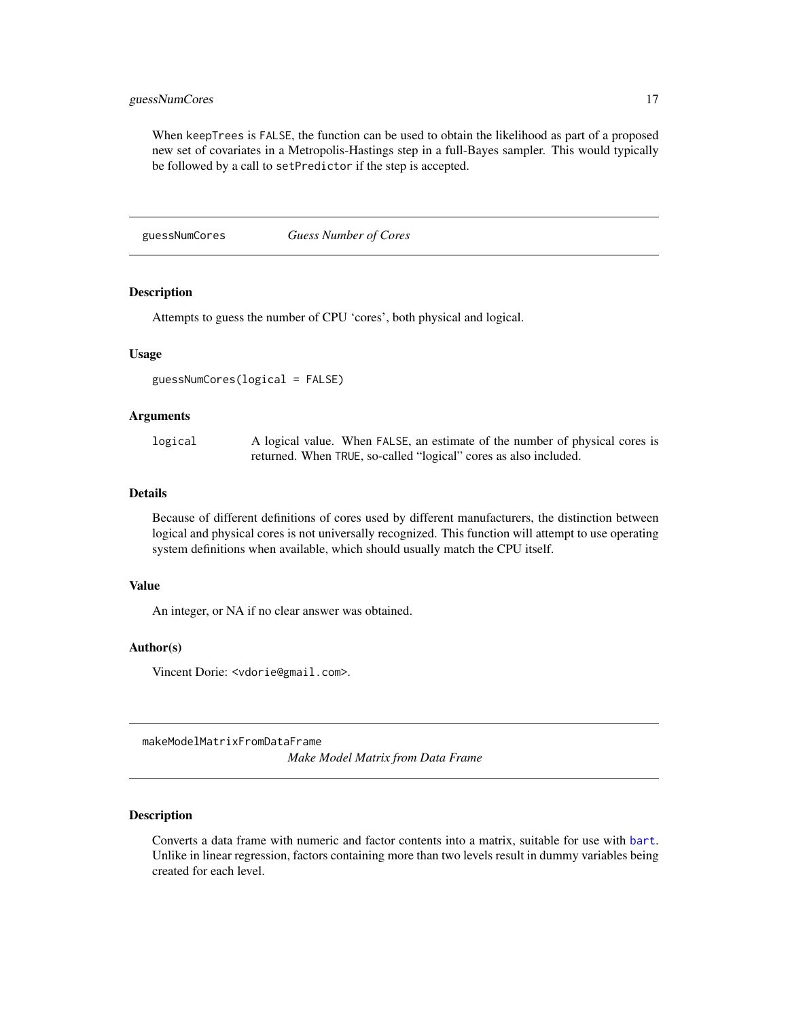#### <span id="page-16-0"></span>guessNumCores 17

When keepTrees is FALSE, the function can be used to obtain the likelihood as part of a proposed new set of covariates in a Metropolis-Hastings step in a full-Bayes sampler. This would typically be followed by a call to setPredictor if the step is accepted.

guessNumCores *Guess Number of Cores*

#### Description

Attempts to guess the number of CPU 'cores', both physical and logical.

#### Usage

```
guessNumCores(logical = FALSE)
```
#### Arguments

| logical | A logical value. When FALSE, an estimate of the number of physical cores is |
|---------|-----------------------------------------------------------------------------|
|         | returned. When TRUE, so-called "logical" cores as also included.            |

#### Details

Because of different definitions of cores used by different manufacturers, the distinction between logical and physical cores is not universally recognized. This function will attempt to use operating system definitions when available, which should usually match the CPU itself.

#### Value

An integer, or NA if no clear answer was obtained.

#### Author(s)

Vincent Dorie: <vdorie@gmail.com>.

makeModelMatrixFromDataFrame

*Make Model Matrix from Data Frame*

#### Description

Converts a data frame with numeric and factor contents into a matrix, suitable for use with [bart](#page-1-1). Unlike in linear regression, factors containing more than two levels result in dummy variables being created for each level.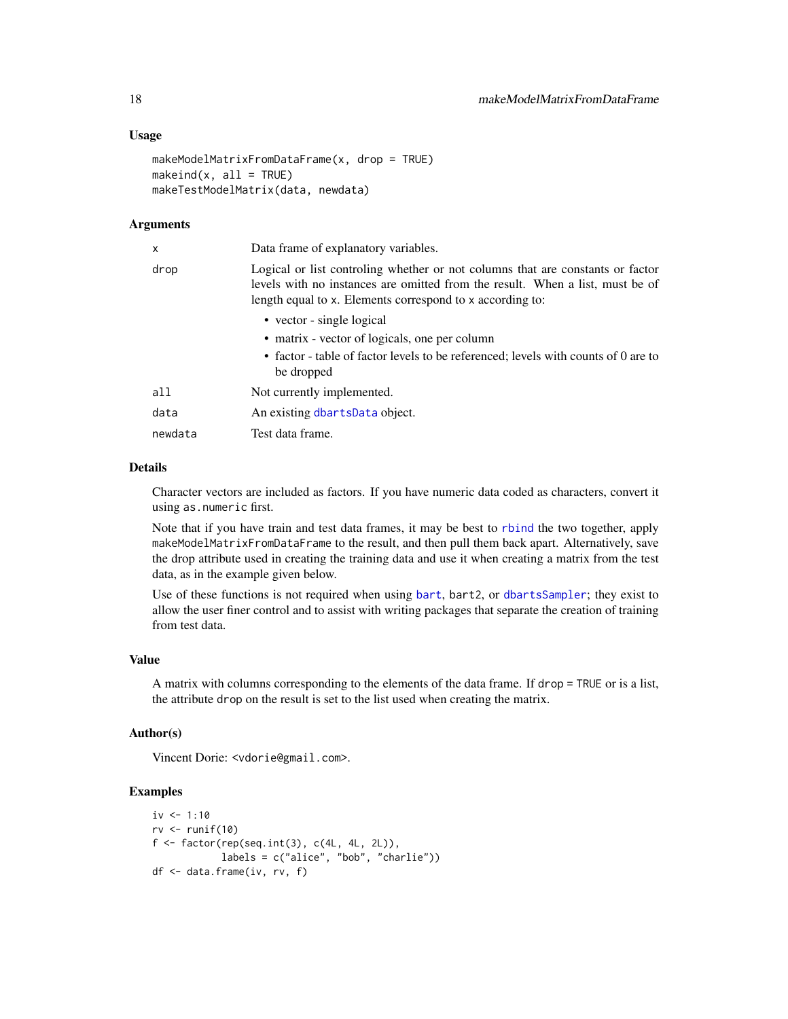#### <span id="page-17-0"></span>Usage

```
makeModelMatrixFromDataFrame(x, drop = TRUE)
makeind(x, all = TRUE)makeTestModelMatrix(data, newdata)
```
#### Arguments

| x       | Data frame of explanatory variables.                                                                                                                                                                                         |
|---------|------------------------------------------------------------------------------------------------------------------------------------------------------------------------------------------------------------------------------|
| drop    | Logical or list controling whether or not columns that are constants or factor<br>levels with no instances are omitted from the result. When a list, must be of<br>length equal to x. Elements correspond to x according to: |
|         | • vector - single logical                                                                                                                                                                                                    |
|         | • matrix - vector of logicals, one per column                                                                                                                                                                                |
|         | • factor - table of factor levels to be referenced; levels with counts of 0 are to<br>be dropped                                                                                                                             |
| all     | Not currently implemented.                                                                                                                                                                                                   |
| data    | An existing dbartsData object.                                                                                                                                                                                               |
| newdata | Test data frame.                                                                                                                                                                                                             |
|         |                                                                                                                                                                                                                              |

#### Details

Character vectors are included as factors. If you have numeric data coded as characters, convert it using as.numeric first.

Note that if you have train and test data frames, it may be best to [rbind](#page-0-0) the two together, apply makeModelMatrixFromDataFrame to the result, and then pull them back apart. Alternatively, save the drop attribute used in creating the training data and use it when creating a matrix from the test data, as in the example given below.

Use of these functions is not required when using [bart](#page-1-1), bart2, or [dbartsSampler](#page-13-3); they exist to allow the user finer control and to assist with writing packages that separate the creation of training from test data.

#### Value

A matrix with columns corresponding to the elements of the data frame. If drop = TRUE or is a list, the attribute drop on the result is set to the list used when creating the matrix.

#### Author(s)

Vincent Dorie: <vdorie@gmail.com>.

#### Examples

```
iv <- 1:10
rv \leftarrow runif(10)f \leftarrow factor(rep(seq.int(3), c(4L, 4L, 2L)),labels = c("alice", "bob", "charlie"))
df <- data.frame(iv, rv, f)
```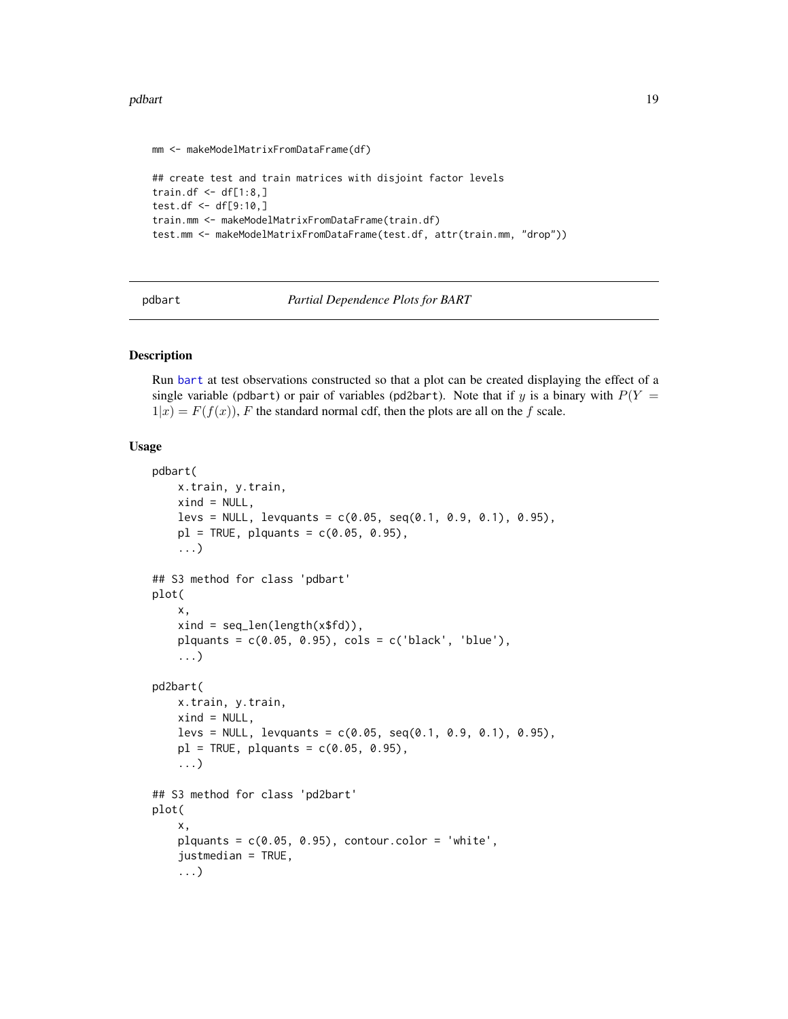#### <span id="page-18-0"></span>pdbart 19

```
mm <- makeModelMatrixFromDataFrame(df)
## create test and train matrices with disjoint factor levels
train.df \leq df[1:8,]
test.df <- df[9:10,]
train.mm <- makeModelMatrixFromDataFrame(train.df)
test.mm <- makeModelMatrixFromDataFrame(test.df, attr(train.mm, "drop"))
```
pdbart *Partial Dependence Plots for BART*

#### Description

Run [bart](#page-1-1) at test observations constructed so that a plot can be created displaying the effect of a single variable (pdbart) or pair of variables (pd2bart). Note that if y is a binary with  $P(Y =$  $1|x| = F(f(x))$ , F the standard normal cdf, then the plots are all on the f scale.

#### Usage

```
pdbart(
    x.train, y.train,
    xind = NULL,less = NULL, levquants = c(0.05, seq(0.1, 0.9, 0.1), 0.95),
    p1 = TRUE, plquants = c(0.05, 0.95).
    ...)
## S3 method for class 'pdbart'
plot(
    x,
    xind = seq_len(length(x$fd)),
    plquants = c(0.05, 0.95), \ncols = c('black', 'blue'),...)
pd2bart(
    x.train, y.train,
    xind = NULL,less = NULL, levquants = c(0.05, seq(0.1, 0.9, 0.1), 0.95),
    p1 = TRUE, plquants = c(0.05, 0.95),...)
## S3 method for class 'pd2bart'
plot(
    x,
    plquants = c(0.05, 0.95), contour.color = 'white',
    justmedian = TRUE,
    ...)
```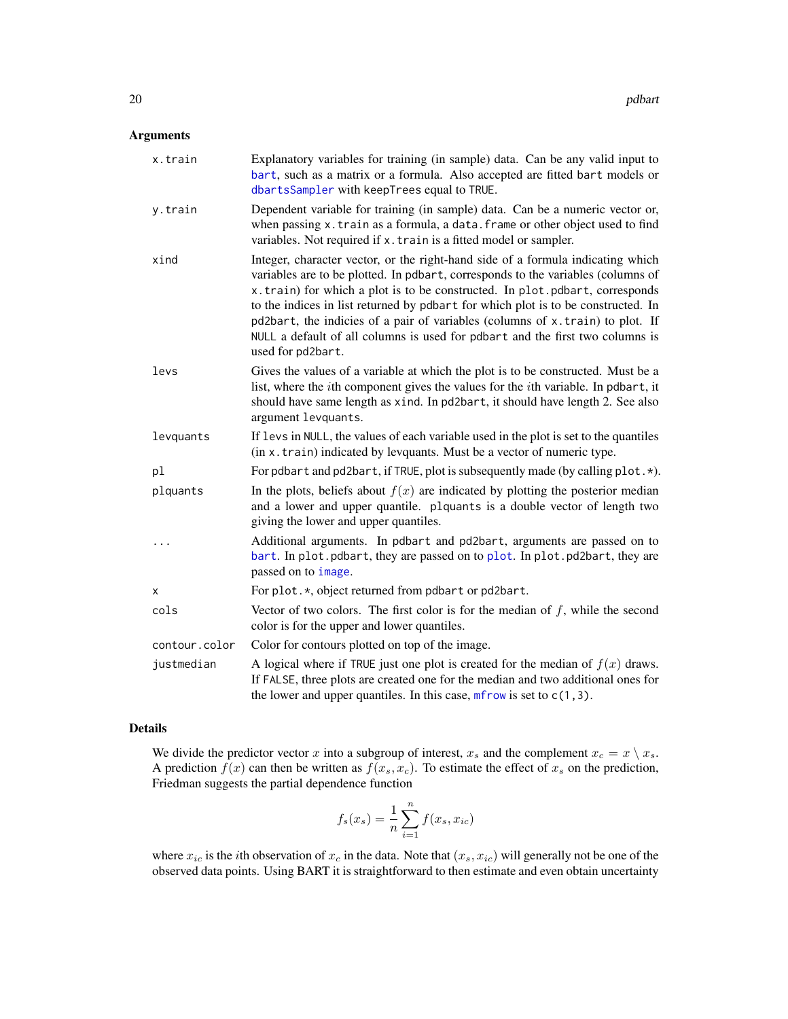#### <span id="page-19-0"></span>Arguments

| x.train       | Explanatory variables for training (in sample) data. Can be any valid input to<br>bart, such as a matrix or a formula. Also accepted are fitted bart models or<br>dbartsSampler with keepTrees equal to TRUE.                                                                                                                                                                                                                                                                                                                  |
|---------------|--------------------------------------------------------------------------------------------------------------------------------------------------------------------------------------------------------------------------------------------------------------------------------------------------------------------------------------------------------------------------------------------------------------------------------------------------------------------------------------------------------------------------------|
| y.train       | Dependent variable for training (in sample) data. Can be a numeric vector or,<br>when passing x. train as a formula, a data. frame or other object used to find<br>variables. Not required if x. train is a fitted model or sampler.                                                                                                                                                                                                                                                                                           |
| xind          | Integer, character vector, or the right-hand side of a formula indicating which<br>variables are to be plotted. In pdbart, corresponds to the variables (columns of<br>x.train) for which a plot is to be constructed. In plot.pdbart, corresponds<br>to the indices in list returned by pdbart for which plot is to be constructed. In<br>pd2bart, the indicies of a pair of variables (columns of x.train) to plot. If<br>NULL a default of all columns is used for pdbart and the first two columns is<br>used for pd2bart. |
| levs          | Gives the values of a variable at which the plot is to be constructed. Must be a<br>list, where the <i>i</i> th component gives the values for the <i>i</i> th variable. In pdbart, it<br>should have same length as xind. In pd2bart, it should have length 2. See also<br>argument levquants.                                                                                                                                                                                                                                |
| levquants     | If levs in NULL, the values of each variable used in the plot is set to the quantiles<br>(in x. train) indicated by levquants. Must be a vector of numeric type.                                                                                                                                                                                                                                                                                                                                                               |
| pl            | For pdbart and pd2bart, if TRUE, plot is subsequently made (by calling plot. $\star$ ).                                                                                                                                                                                                                                                                                                                                                                                                                                        |
| plquants      | In the plots, beliefs about $f(x)$ are indicated by plotting the posterior median<br>and a lower and upper quantile. plquants is a double vector of length two<br>giving the lower and upper quantiles.                                                                                                                                                                                                                                                                                                                        |
| $\cdots$      | Additional arguments. In pdbart and pd2bart, arguments are passed on to<br>bart. In plot. pdbart, they are passed on to plot. In plot. pd2bart, they are<br>passed on to image.                                                                                                                                                                                                                                                                                                                                                |
| x             | For plot. *, object returned from pdbart or pd2bart.                                                                                                                                                                                                                                                                                                                                                                                                                                                                           |
| cols          | Vector of two colors. The first color is for the median of $f$ , while the second<br>color is for the upper and lower quantiles.                                                                                                                                                                                                                                                                                                                                                                                               |
| contour.color | Color for contours plotted on top of the image.                                                                                                                                                                                                                                                                                                                                                                                                                                                                                |
| justmedian    | A logical where if TRUE just one plot is created for the median of $f(x)$ draws.<br>If FALSE, three plots are created one for the median and two additional ones for<br>the lower and upper quantiles. In this case, $m$ frow is set to $c(1, 3)$ .                                                                                                                                                                                                                                                                            |

#### Details

We divide the predictor vector x into a subgroup of interest,  $x_s$  and the complement  $x_c = x \setminus x_s$ . A prediction  $f(x)$  can then be written as  $f(x_s, x_c)$ . To estimate the effect of  $x_s$  on the prediction, Friedman suggests the partial dependence function

$$
f_s(x_s) = \frac{1}{n} \sum_{i=1}^{n} f(x_s, x_{ic})
$$

where  $x_{ic}$  is the *i*th observation of  $x_c$  in the data. Note that  $(x_s, x_{ic})$  will generally not be one of the observed data points. Using BART it is straightforward to then estimate and even obtain uncertainty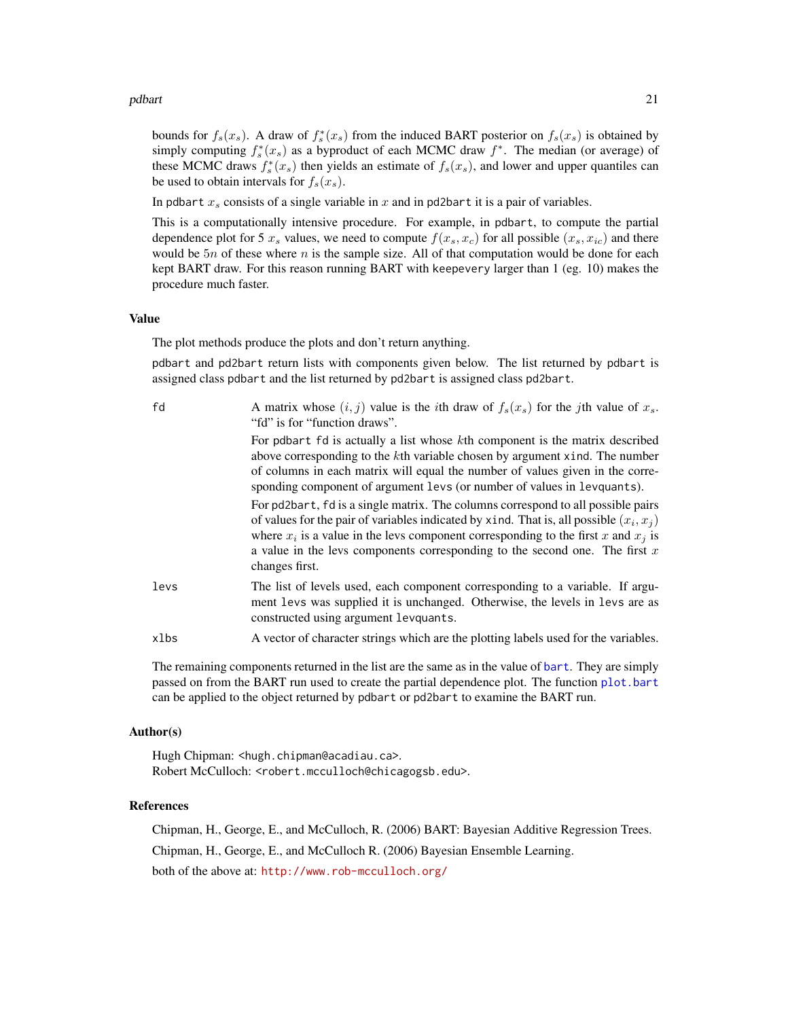#### <span id="page-20-0"></span>pdbart 21 and 22 and 22 and 22 and 22 and 23 and 23 and 23 and 24 and 25 and 26 and 26 and 27 and 27 and 27 and 27 and 27 and 27 and 27 and 27 and 27 and 27 and 27 and 27 and 27 and 27 and 27 and 27 and 27 and 27 and 27 an

bounds for  $f_s(x_s)$ . A draw of  $f_s^*(x_s)$  from the induced BART posterior on  $f_s(x_s)$  is obtained by simply computing  $f_s^*(x_s)$  as a byproduct of each MCMC draw  $f^*$ . The median (or average) of these MCMC draws  $f_s^*(x_s)$  then yields an estimate of  $f_s(x_s)$ , and lower and upper quantiles can be used to obtain intervals for  $f_s(x_s)$ .

In pdbart  $x_s$  consists of a single variable in x and in pd2bart it is a pair of variables.

This is a computationally intensive procedure. For example, in pdbart, to compute the partial dependence plot for 5  $x_s$  values, we need to compute  $f(x_s, x_c)$  for all possible  $(x_s, x_{ic})$  and there would be  $5n$  of these where n is the sample size. All of that computation would be done for each kept BART draw. For this reason running BART with keepevery larger than 1 (eg. 10) makes the procedure much faster.

#### Value

The plot methods produce the plots and don't return anything.

pdbart and pd2bart return lists with components given below. The list returned by pdbart is assigned class pdbart and the list returned by pd2bart is assigned class pd2bart.

| fd   | A matrix whose $(i, j)$ value is the <i>i</i> th draw of $f_s(x_s)$ for the <i>j</i> th value of $x_s$ .<br>"fd" is for "function draws".                                                                                                                                                                                                                                  |
|------|----------------------------------------------------------------------------------------------------------------------------------------------------------------------------------------------------------------------------------------------------------------------------------------------------------------------------------------------------------------------------|
|      | For potent for is actually a list whose kth component is the matrix described<br>above corresponding to the kth variable chosen by argument xind. The number<br>of columns in each matrix will equal the number of values given in the corre-<br>sponding component of argument levs (or number of values in levquants).                                                   |
|      | For pd2bart, fd is a single matrix. The columns correspond to all possible pairs<br>of values for the pair of variables indicated by xind. That is, all possible $(x_i, x_j)$<br>where $x_i$ is a value in the levs component corresponding to the first x and $x_i$ is<br>a value in the levs components corresponding to the second one. The first $x$<br>changes first. |
| levs | The list of levels used, each component corresponding to a variable. If argu-<br>ment levs was supplied it is unchanged. Otherwise, the levels in levs are as<br>constructed using argument levquants.                                                                                                                                                                     |
| xlbs | A vector of character strings which are the plotting labels used for the variables.                                                                                                                                                                                                                                                                                        |
|      |                                                                                                                                                                                                                                                                                                                                                                            |

The remaining components returned in the list are the same as in the value of [bart](#page-1-1). They are simply passed on from the BART run used to create the partial dependence plot. The function [plot.bart](#page-1-2) can be applied to the object returned by pdbart or pd2bart to examine the BART run.

#### Author(s)

Hugh Chipman: <hugh.chipman@acadiau.ca>. Robert McCulloch: <robert.mcculloch@chicagogsb.edu>.

#### References

Chipman, H., George, E., and McCulloch, R. (2006) BART: Bayesian Additive Regression Trees.

Chipman, H., George, E., and McCulloch R. (2006) Bayesian Ensemble Learning.

both of the above at: <http://www.rob-mcculloch.org/>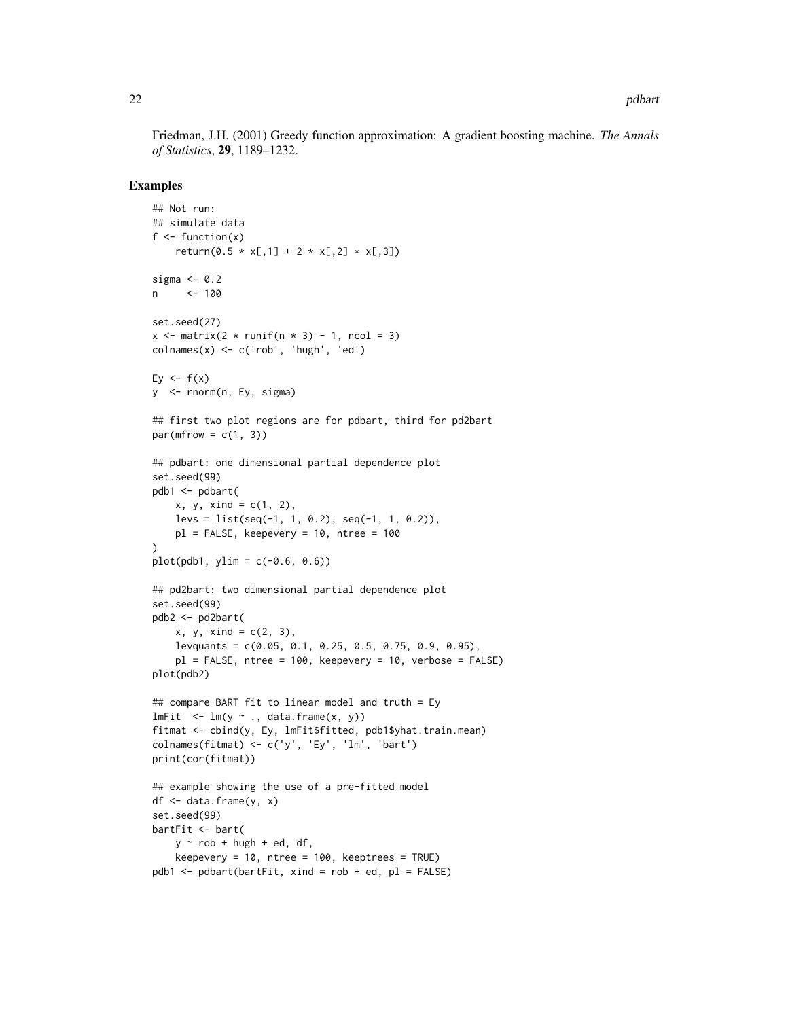Friedman, J.H. (2001) Greedy function approximation: A gradient boosting machine. *The Annals of Statistics*, 29, 1189–1232.

#### Examples

```
## Not run:
## simulate data
f \leftarrow function(x)return(0.5 * x[,1] + 2 * x[,2] * x[,3]sigma <-0.2n <- 100
set.seed(27)
x \le matrix(2 * runif(n * 3) - 1, ncol = 3)
\text{colnames}(x) \leq c('rob', 'hugh', 'ed')Ey \leftarrow f(x)y <- rnorm(n, Ey, sigma)
## first two plot regions are for pdbart, third for pd2bart
par(mfrow = c(1, 3))## pdbart: one dimensional partial dependence plot
set.seed(99)
pdb1 <- pdbart(
    x, y, x \in (1, 2),
    less = list(seq(-1, 1, 0.2), seq(-1, 1, 0.2)),pl = FALSE, keepevery = 10, ntree = 100
)
plot(pdb1, ylim = c(-0.6, 0.6))## pd2bart: two dimensional partial dependence plot
set.seed(99)
pdb2 <- pd2bart(
    x, y, x \in (2, 3),levquants = c(0.05, 0.1, 0.25, 0.5, 0.75, 0.9, 0.95),
    pl = FALSE, ntree = 100, keepevery = 10, verbose = FALSE)
plot(pdb2)
## compare BART fit to linear model and truth = Ey
lmFit <- lm(y \sim ., data-frame(x, y))fitmat <- cbind(y, Ey, lmFit$fitted, pdb1$yhat.train.mean)
colnames(fitmat) <- c('y', 'Ey', 'lm', 'bart')
print(cor(fitmat))
## example showing the use of a pre-fitted model
df \leftarrow data-frame(y, x)set.seed(99)
bartFit <- bart(
    y \sim rob + hugh + ed, df,
    keepevery = 10, ntree = 100, keeptrees = TRUE)
pdb1 \leq -\text{pdbart}(barFit, xind = rob + ed, pl = FALSE)
```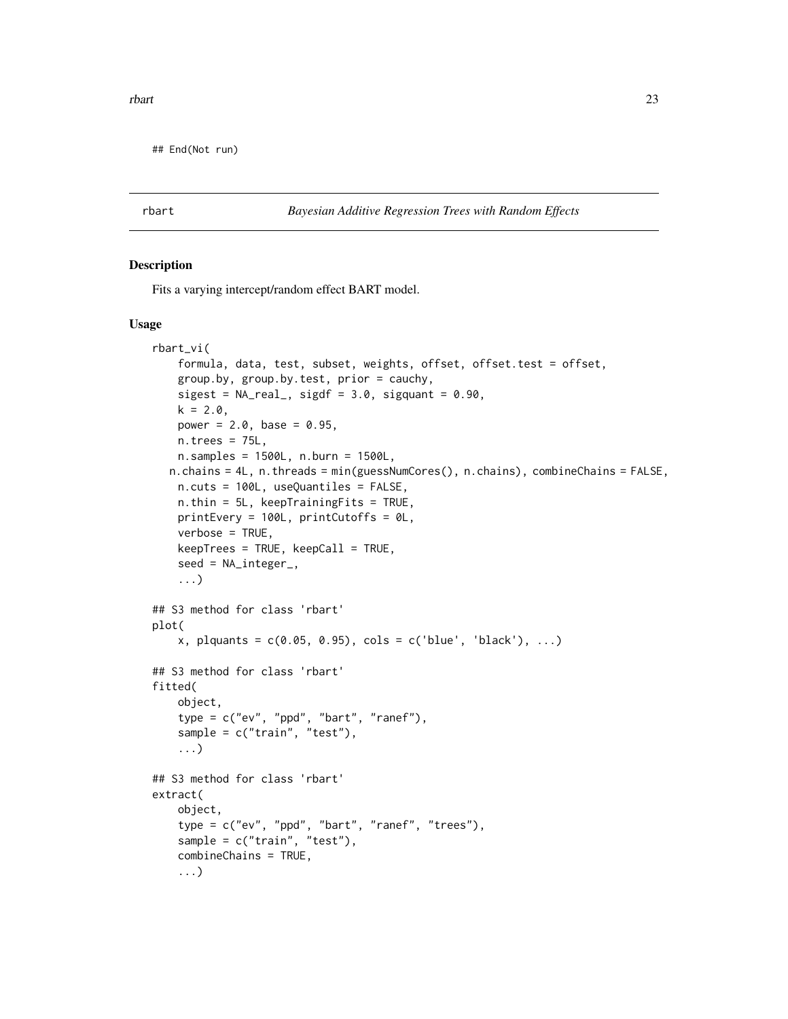<span id="page-22-0"></span>## End(Not run)

rbart *Bayesian Additive Regression Trees with Random Effects*

#### <span id="page-22-1"></span>Description

Fits a varying intercept/random effect BART model.

#### Usage

```
rbart_vi(
    formula, data, test, subset, weights, offset, offset.test = offset,
    group.by, group.by.test, prior = cauchy,
    sigest = NA\_real_, sigdf = 3.0, sigquant = 0.90,
   k = 2.0,
   power = 2.0, base = 0.95,n.trees = 75L,n.samples = 1500L, n.burn = 1500L,
  n.chains = 4L, n.threads = min(guessNumCores(), n.chains), combineChains = FALSE,
    n.cuts = 100L, useQuantiles = FALSE,
   n.thin = 5L, keepTrainingFits = TRUE,
   printEvery = 100L, printCutoffs = 0L,
   verbose = TRUE,
   keepTrees = TRUE, keepCall = TRUE,
    seed = NA_integer_,
    ...)
## S3 method for class 'rbart'
plot(
    x, plquants = c(0.05, 0.95), cols = c('blue', 'black'), ...## S3 method for class 'rbart'
fitted(
    object,
    type = c("ev", "ppd", "bart", "ranef"),sample = c("train", "test"),
    ...)
## S3 method for class 'rbart'
extract(
    object,
    type = c("ev", "ppd", "bart", "ranef", "trees"),sample = c("train", "test"),
    combineChains = TRUE,
    ...)
```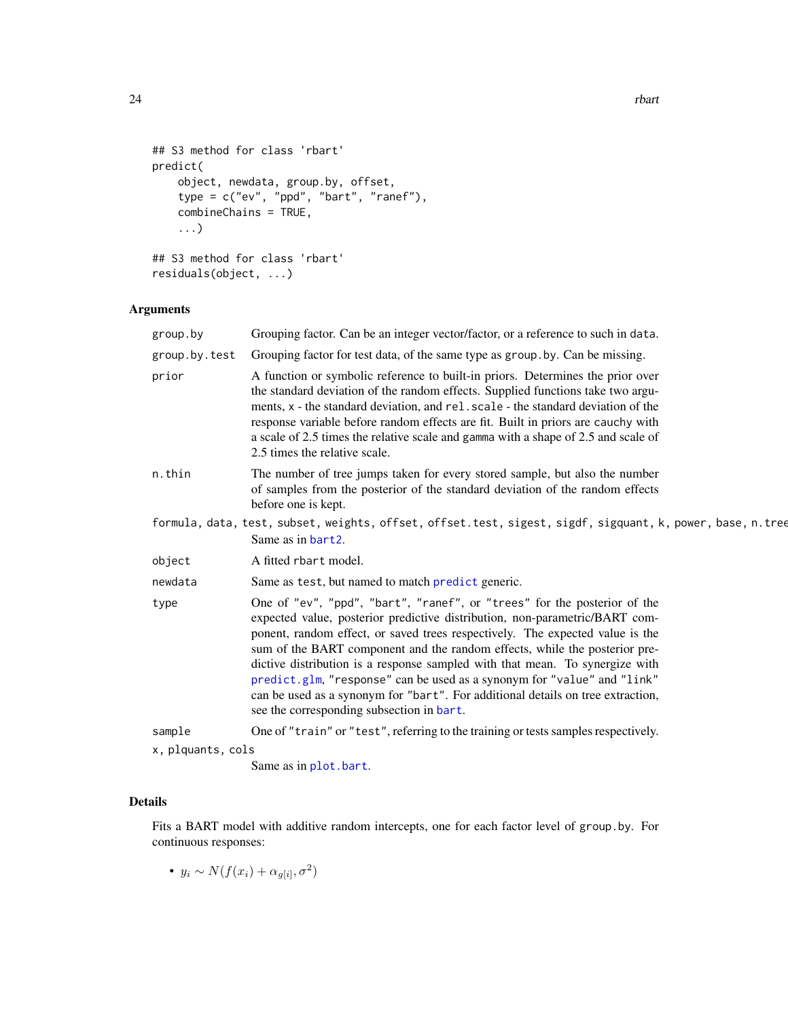```
## S3 method for class 'rbart'
predict(
    object, newdata, group.by, offset,
    type = c("ev", "ppd", "bart", "ranef"),combineChains = TRUE,
    ...)
## S3 method for class 'rbart'
residuals(object, ...)
```
#### Arguments

| group.by          | Grouping factor. Can be an integer vector/factor, or a reference to such in data.                                                                                                                                                                                                                                                                                                                                                                                                                                                                                                                                 |
|-------------------|-------------------------------------------------------------------------------------------------------------------------------------------------------------------------------------------------------------------------------------------------------------------------------------------------------------------------------------------------------------------------------------------------------------------------------------------------------------------------------------------------------------------------------------------------------------------------------------------------------------------|
| group.by.test     | Grouping factor for test data, of the same type as group. by. Can be missing.                                                                                                                                                                                                                                                                                                                                                                                                                                                                                                                                     |
| prior             | A function or symbolic reference to built-in priors. Determines the prior over<br>the standard deviation of the random effects. Supplied functions take two argu-<br>ments, x - the standard deviation, and rel. scale - the standard deviation of the<br>response variable before random effects are fit. Built in priors are cauchy with<br>a scale of 2.5 times the relative scale and gamma with a shape of 2.5 and scale of<br>2.5 times the relative scale.                                                                                                                                                 |
| n.thin            | The number of tree jumps taken for every stored sample, but also the number<br>of samples from the posterior of the standard deviation of the random effects<br>before one is kept.                                                                                                                                                                                                                                                                                                                                                                                                                               |
|                   | formula, data, test, subset, weights, offset, offset.test, sigest, sigdf, sigquant, k, power, base, n.tree                                                                                                                                                                                                                                                                                                                                                                                                                                                                                                        |
|                   | Same as in bart2.                                                                                                                                                                                                                                                                                                                                                                                                                                                                                                                                                                                                 |
| object            | A fitted rbart model.                                                                                                                                                                                                                                                                                                                                                                                                                                                                                                                                                                                             |
| newdata           | Same as test, but named to match predict generic.                                                                                                                                                                                                                                                                                                                                                                                                                                                                                                                                                                 |
| type              | One of "ev", "ppd", "bart", "ranef", or "trees" for the posterior of the<br>expected value, posterior predictive distribution, non-parametric/BART com-<br>ponent, random effect, or saved trees respectively. The expected value is the<br>sum of the BART component and the random effects, while the posterior pre-<br>dictive distribution is a response sampled with that mean. To synergize with<br>predict.glm, "response" can be used as a synonym for "value" and "link"<br>can be used as a synonym for "bart". For additional details on tree extraction,<br>see the corresponding subsection in bart. |
| sample            | One of "train" or "test", referring to the training or tests samples respectively.                                                                                                                                                                                                                                                                                                                                                                                                                                                                                                                                |
| x, plquants, cols |                                                                                                                                                                                                                                                                                                                                                                                                                                                                                                                                                                                                                   |
|                   | the company's company's company's company's                                                                                                                                                                                                                                                                                                                                                                                                                                                                                                                                                                       |

#### Same as in [plot.bart](#page-1-2).

#### Details

Fits a BART model with additive random intercepts, one for each factor level of group.by. For continuous responses:

•  $y_i \sim N(f(x_i) + \alpha_{g[i]}, \sigma^2)$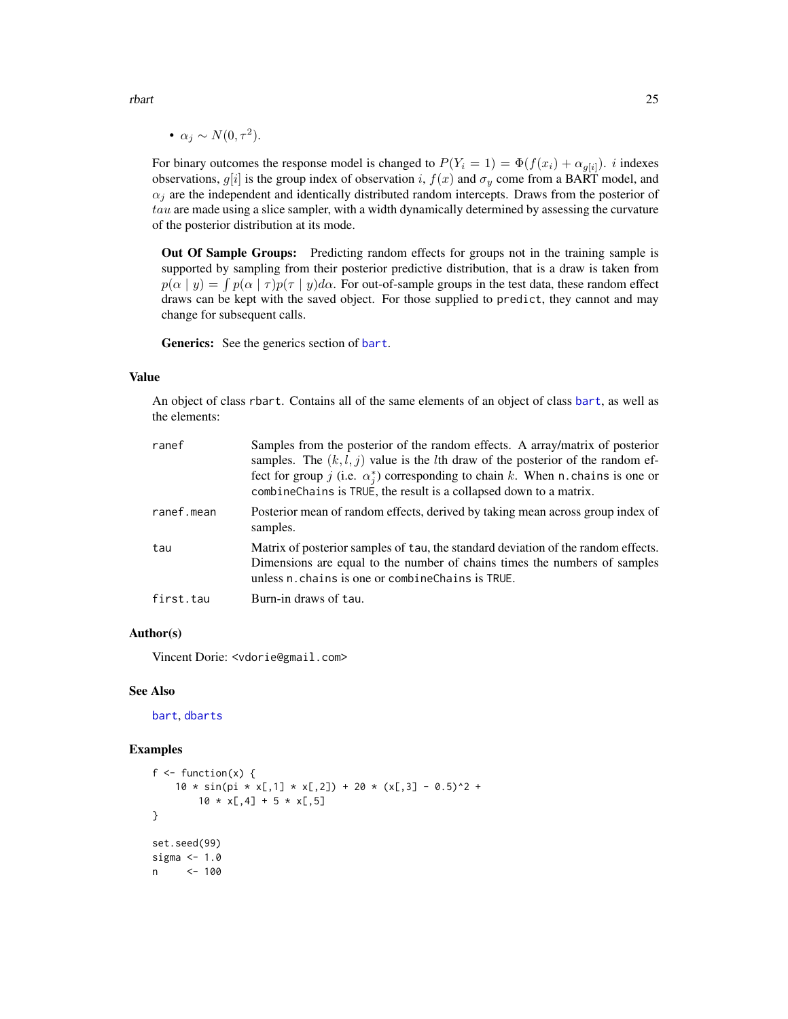<span id="page-24-0"></span>• 
$$
\alpha_j \sim N(0, \tau^2)
$$
.

For binary outcomes the response model is changed to  $P(Y_i = 1) = \Phi(f(x_i) + \alpha_{g[i]})$ . *i* indexes observations,  $g[i]$  is the group index of observation i,  $f(x)$  and  $\sigma_y$  come from a BART model, and  $\alpha_j$  are the independent and identically distributed random intercepts. Draws from the posterior of  $tau$  are made using a slice sampler, with a width dynamically determined by assessing the curvature of the posterior distribution at its mode.

Out Of Sample Groups: Predicting random effects for groups not in the training sample is supported by sampling from their posterior predictive distribution, that is a draw is taken from  $p(\alpha | y) = \int p(\alpha | \tau) p(\tau | y) d\alpha$ . For out-of-sample groups in the test data, these random effect draws can be kept with the saved object. For those supplied to predict, they cannot and may change for subsequent calls.

Generics: See the generics section of [bart](#page-1-1).

#### Value

An object of class rbart. Contains all of the same elements of an object of class [bart](#page-1-1), as well as the elements:

| ranef      | Samples from the posterior of the random effects. A array/matrix of posterior<br>samples. The $(k, l, j)$ value is the <i>l</i> th draw of the posterior of the random ef-<br>fect for group j (i.e. $\alpha_i^*$ ) corresponding to chain k. When n. chains is one or<br>combineChains is TRUE, the result is a collapsed down to a matrix. |
|------------|----------------------------------------------------------------------------------------------------------------------------------------------------------------------------------------------------------------------------------------------------------------------------------------------------------------------------------------------|
| ranef.mean | Posterior mean of random effects, derived by taking mean across group index of<br>samples.                                                                                                                                                                                                                                                   |
| tau        | Matrix of posterior samples of tau, the standard deviation of the random effects.<br>Dimensions are equal to the number of chains times the numbers of samples<br>unless n. chains is one or combine Chains is TRUE.                                                                                                                         |
| first.tau  | Burn-in draws of tau.                                                                                                                                                                                                                                                                                                                        |

#### Author(s)

Vincent Dorie: <vdorie@gmail.com>

#### See Also

[bart](#page-1-1), [dbarts](#page-9-1)

#### Examples

```
f \leftarrow function(x) {
     10 \times \sin(\pi x \times [0,1] \times \pi,2) + 20 \times (\pi,3] - 0.5)^2 +
          10 \times x[, 4] + 5 \times x[, 5]}
set.seed(99)
sigma <-1.0n <- 100
```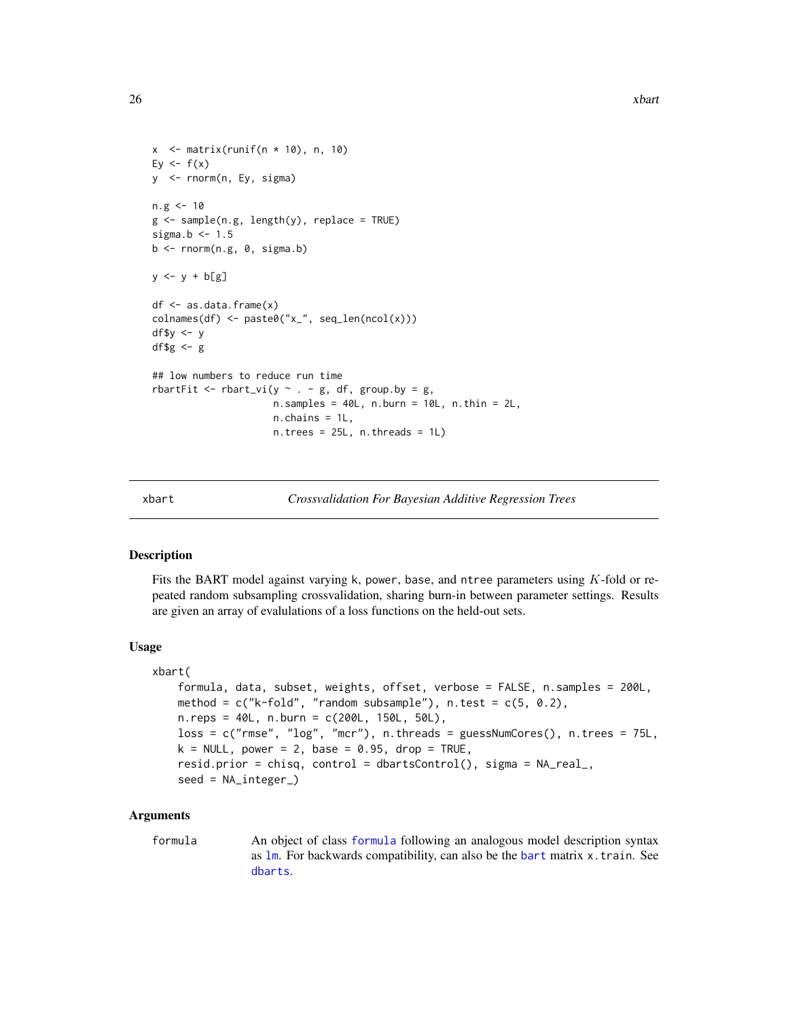```
x \le - matrix(runif(n * 10), n, 10)
Ey \leftarrow f(x)y <- rnorm(n, Ey, sigma)
n.g < -10g \leq - sample(n.g, length(y), replace = TRUE)
sigma.b \leq -1.5b \leftarrow \text{norm}(n.g, 0, signa.b)y \leftarrow y + b[g]df <- as.data.frame(x)
\text{colnames}(df) \leftarrow \text{paste0("x."}, \text{seq\_len(ncol(x))})df$y <- y
df$g <- g
## low numbers to reduce run time
rbartFit <- rbart_vi(y \sim . - g, df, group.by = g,
                        n.samples = 40L, n.burn = 10L, n.thin = 2L,
                        n.chains = 1L,
                        n. trees = 25L, n. threads = 1L)
```
xbart *Crossvalidation For Bayesian Additive Regression Trees*

#### Description

Fits the BART model against varying k, power, base, and ntree parameters using K-fold or repeated random subsampling crossvalidation, sharing burn-in between parameter settings. Results are given an array of evalulations of a loss functions on the held-out sets.

#### Usage

```
xbart(
   formula, data, subset, weights, offset, verbose = FALSE, n.samples = 200L,
   method = c("k-fold", "random subsample"), n.test = <math>c(5, 0.2)</math>,n.reps = 40L, n.burn = c(200L, 150L, 50L),
   loss = c("rmse", "log", "mcr"), n.threads = guessNumCores(), n.trees = 75L,
   k = NULL, power = 2, base = 0.95, drop = TRUE,
   resid.prior = chisq, control = dbartsControl(), sigma = NA_real_,
   seed = NA_integer_)
```
#### Arguments

formula An object of class [formula](#page-0-0) following an analogous model description syntax as [lm](#page-0-0). For backwards compatibility, can also be the [bart](#page-1-1) matrix x.train. See [dbarts](#page-9-1).

<span id="page-25-0"></span>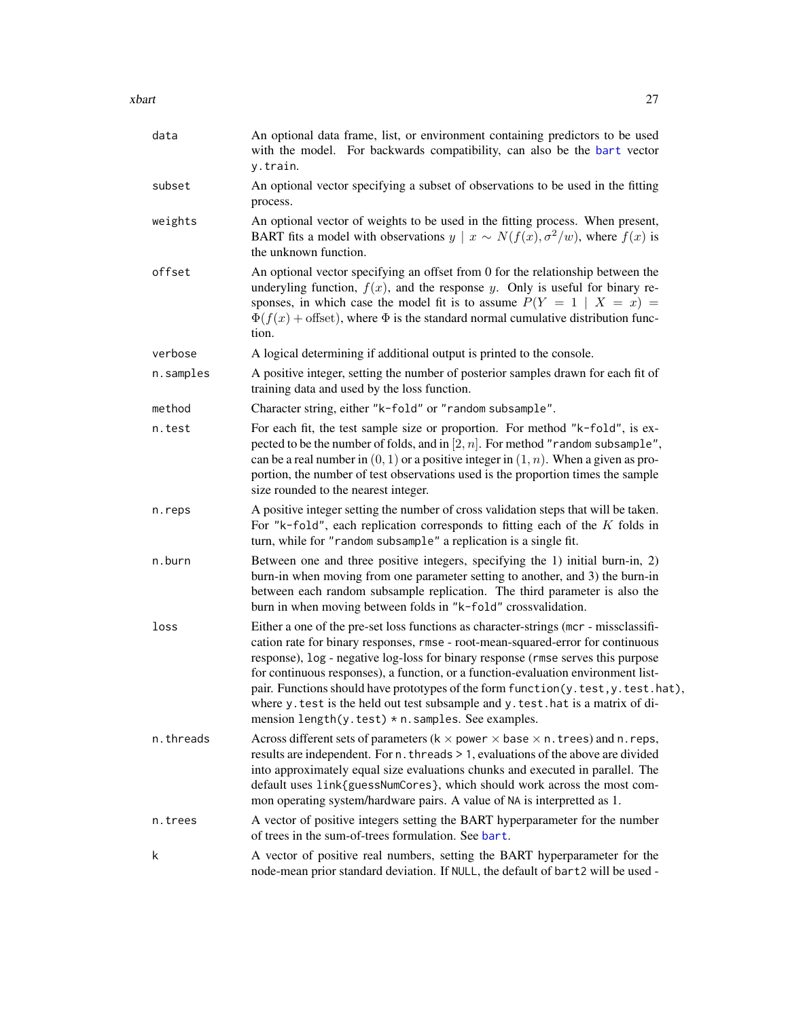| data      | An optional data frame, list, or environment containing predictors to be used<br>with the model. For backwards compatibility, can also be the bart vector<br>y.train.                                                                                                                                                                                                                                                                                                                                                                                                             |
|-----------|-----------------------------------------------------------------------------------------------------------------------------------------------------------------------------------------------------------------------------------------------------------------------------------------------------------------------------------------------------------------------------------------------------------------------------------------------------------------------------------------------------------------------------------------------------------------------------------|
| subset    | An optional vector specifying a subset of observations to be used in the fitting<br>process.                                                                                                                                                                                                                                                                                                                                                                                                                                                                                      |
| weights   | An optional vector of weights to be used in the fitting process. When present,<br>BART fits a model with observations $y \mid x \sim N(f(x), \sigma^2/w)$ , where $f(x)$ is<br>the unknown function.                                                                                                                                                                                                                                                                                                                                                                              |
| offset    | An optional vector specifying an offset from 0 for the relationship between the<br>underyling function, $f(x)$ , and the response y. Only is useful for binary re-<br>sponses, in which case the model fit is to assume $P(Y = 1   X = x) =$<br>$\Phi(f(x))$ + offset), where $\Phi$ is the standard normal cumulative distribution func-<br>tion.                                                                                                                                                                                                                                |
| verbose   | A logical determining if additional output is printed to the console.                                                                                                                                                                                                                                                                                                                                                                                                                                                                                                             |
| n.samples | A positive integer, setting the number of posterior samples drawn for each fit of<br>training data and used by the loss function.                                                                                                                                                                                                                                                                                                                                                                                                                                                 |
| method    | Character string, either "k-fold" or "random subsample".                                                                                                                                                                                                                                                                                                                                                                                                                                                                                                                          |
| n.test    | For each fit, the test sample size or proportion. For method "k-fold", is ex-<br>pected to be the number of folds, and in [2, $n$ ]. For method "random subsample",<br>can be a real number in $(0, 1)$ or a positive integer in $(1, n)$ . When a given as pro-<br>portion, the number of test observations used is the proportion times the sample<br>size rounded to the nearest integer.                                                                                                                                                                                      |
| n.reps    | A positive integer setting the number of cross validation steps that will be taken.<br>For "k-fold", each replication corresponds to fitting each of the $K$ folds in<br>turn, while for "random subsample" a replication is a single fit.                                                                                                                                                                                                                                                                                                                                        |
| n.burn    | Between one and three positive integers, specifying the 1) initial burn-in, 2)<br>burn-in when moving from one parameter setting to another, and 3) the burn-in<br>between each random subsample replication. The third parameter is also the<br>burn in when moving between folds in "k-fold" crossvalidation.                                                                                                                                                                                                                                                                   |
| loss      | Either a one of the pre-set loss functions as character-strings (mcr - missclassifi-<br>cation rate for binary responses, rmse - root-mean-squared-error for continuous<br>response), log - negative log-loss for binary response (rmse serves this purpose<br>for continuous responses), a function, or a function-evaluation environment list-<br>pair. Functions should have prototypes of the form function(y.test,y.test.hat),<br>where y. test is the held out test subsample and y. test. hat is a matrix of di-<br>mension length( $y.test$ ) * n. samples. See examples. |
| n.threads | Across different sets of parameters ( $k \times p$ ower $\times$ base $\times$ n. trees) and n. reps,<br>results are independent. For n. threads > 1, evaluations of the above are divided<br>into approximately equal size evaluations chunks and executed in parallel. The<br>default uses link{guessNumCores}, which should work across the most com-<br>mon operating system/hardware pairs. A value of NA is interpretted as 1.                                                                                                                                              |
| n.trees   | A vector of positive integers setting the BART hyperparameter for the number<br>of trees in the sum-of-trees formulation. See bart.                                                                                                                                                                                                                                                                                                                                                                                                                                               |
| k         | A vector of positive real numbers, setting the BART hyperparameter for the<br>node-mean prior standard deviation. If NULL, the default of bart2 will be used -                                                                                                                                                                                                                                                                                                                                                                                                                    |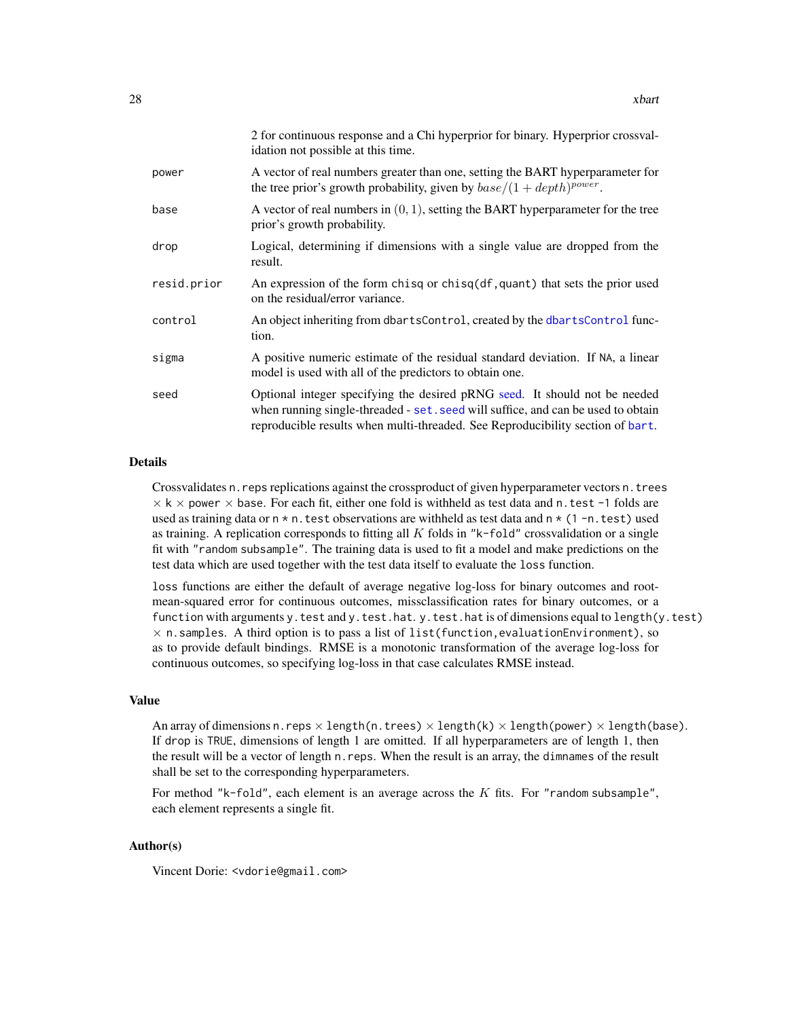<span id="page-27-0"></span>

|             | 2 for continuous response and a Chi hyperprior for binary. Hyperprior crossval-<br>idation not possible at this time.                                                                                                                            |
|-------------|--------------------------------------------------------------------------------------------------------------------------------------------------------------------------------------------------------------------------------------------------|
| power       | A vector of real numbers greater than one, setting the BART hyperparameter for<br>the tree prior's growth probability, given by $base/(1 + depth)^{power}$ .                                                                                     |
| base        | A vector of real numbers in $(0, 1)$ , setting the BART hyperparameter for the tree<br>prior's growth probability.                                                                                                                               |
| drop        | Logical, determining if dimensions with a single value are dropped from the<br>result.                                                                                                                                                           |
| resid.prior | An expression of the form chisq or chisq(df, quant) that sets the prior used<br>on the residual/error variance.                                                                                                                                  |
| control     | An object inheriting from dbartsControl, created by the dbartsControl func-<br>tion.                                                                                                                                                             |
| sigma       | A positive numeric estimate of the residual standard deviation. If NA, a linear<br>model is used with all of the predictors to obtain one.                                                                                                       |
| seed        | Optional integer specifying the desired pRNG seed. It should not be needed<br>when running single-threaded - set. seed will suffice, and can be used to obtain<br>reproducible results when multi-threaded. See Reproducibility section of bart. |

#### Details

Crossvalidates n.reps replications against the crossproduct of given hyperparameter vectors n.trees  $\times$  k  $\times$  power  $\times$  base. For each fit, either one fold is withheld as test data and n.test -1 folds are used as training data or  $n \times n$ . test observations are withheld as test data and  $n \times (1 - n \cdot \text{test})$  used as training. A replication corresponds to fitting all  $K$  folds in " $k$ -fold" crossvalidation or a single fit with "random subsample". The training data is used to fit a model and make predictions on the test data which are used together with the test data itself to evaluate the loss function.

loss functions are either the default of average negative log-loss for binary outcomes and rootmean-squared error for continuous outcomes, missclassification rates for binary outcomes, or a function with arguments y.test and y.test.hat. y.test.hat is of dimensions equal to length(y.test)  $\times$  n.samples. A third option is to pass a list of list(function, evaluationEnvironment), so as to provide default bindings. RMSE is a monotonic transformation of the average log-loss for continuous outcomes, so specifying log-loss in that case calculates RMSE instead.

#### Value

An array of dimensions n.reps  $\times$  length(n.trees)  $\times$  length(k)  $\times$  length(power)  $\times$  length(base). If drop is TRUE, dimensions of length 1 are omitted. If all hyperparameters are of length 1, then the result will be a vector of length n.reps. When the result is an array, the dimnames of the result shall be set to the corresponding hyperparameters.

For method "k-fold", each element is an average across the  $K$  fits. For "random subsample", each element represents a single fit.

#### Author(s)

Vincent Dorie: <vdorie@gmail.com>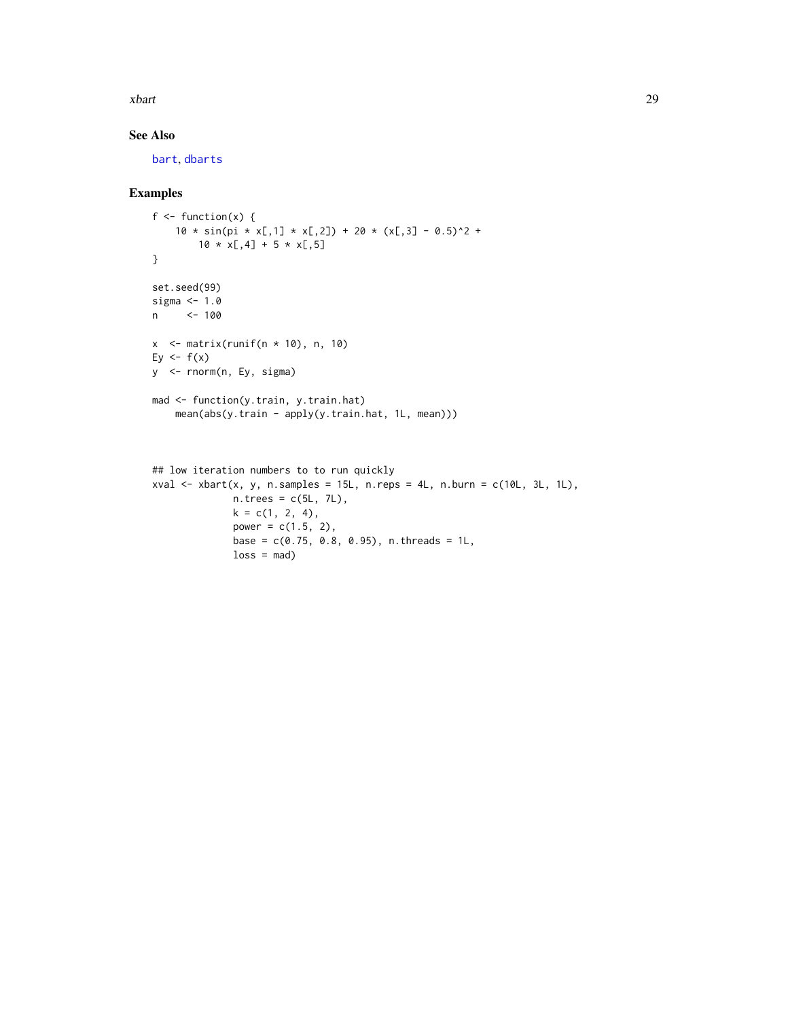<span id="page-28-0"></span>xbart 29

### See Also

[bart](#page-1-1), [dbarts](#page-9-1)

#### Examples

```
f \leftarrow function(x) {
    10 * sin(pi * x[,1] * x[,2]) + 20 * (x[,3] - 0.5)^2 +10 \times x[, 4] + 5 \times x[, 5]}
set.seed(99)
sigma <- 1.0
n <- 100
x \le - matrix(runif(n * 10), n, 10)
Ey \leftarrow f(x)y <- rnorm(n, Ey, sigma)
mad <- function(y.train, y.train.hat)
    mean(abs(y.train - apply(y.train.hat, 1L, mean)))
## low iteration numbers to to run quickly
```

```
xval \le xbart(x, y, n.samples = 15L, n.reps = 4L, n.burn = c(10L, 3L, 1L),
              n. trees = c(5L, 7L),
              k = c(1, 2, 4),
              power = c(1.5, 2),base = c(0.75, 0.8, 0.95), n.threads = 1L,
              loss = mad)
```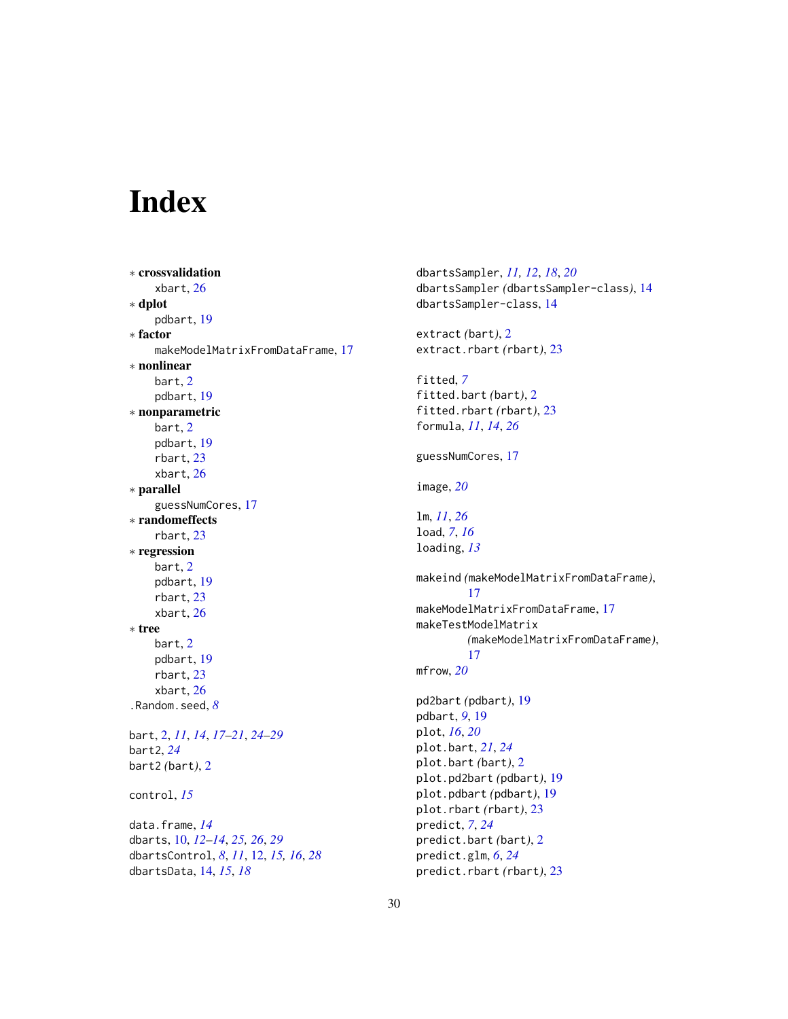# <span id="page-29-0"></span>Index

```
∗ crossvalidation
    xbart, 26
∗ dplot
    pdbart, 19
∗ factor
    makeModelMatrixFromDataFrame, 17
∗ nonlinear
    bart, 2
    pdbart, 19
∗ nonparametric
    bart, 2
    pdbart, 19
    rbart, 23
    xbart, 26
∗ parallel
    guessNumCores, 17
∗ randomeffects
    rbart, 23
∗ regression
    bart, 2
    pdbart, 19
    rbart, 23
    xbart, 26
∗ tree
    bart, 2
    pdbart, 19
    rbart, 23
    xbart, 26
.Random.seed, 8
bart, 2, 11, 14, 17–21, 24–29
bart2, 24
bart2 (bart), 2
control, 15
data.frame, 14
dbarts, 10, 12–14, 25, 26, 29
dbartsControl, 8, 11, 12, 15, 16, 28
dbartsData, 14, 15, 18
```
dbartsSampler, *[11,](#page-10-0) [12](#page-11-0)*, *[18](#page-17-0)*, *[20](#page-19-0)* dbartsSampler *(*dbartsSampler-class*)*, [14](#page-13-0) dbartsSampler-class, [14](#page-13-0) extract *(*bart*)*, [2](#page-1-0) extract.rbart *(*rbart*)*, [23](#page-22-0) fitted, *[7](#page-6-0)* fitted.bart *(*bart*)*, [2](#page-1-0) fitted.rbart *(*rbart*)*, [23](#page-22-0) formula, *[11](#page-10-0)*, *[14](#page-13-0)*, *[26](#page-25-0)* guessNumCores, [17](#page-16-0) image, *[20](#page-19-0)* lm, *[11](#page-10-0)*, *[26](#page-25-0)* load, *[7](#page-6-0)*, *[16](#page-15-0)* loading, *[13](#page-12-0)* makeind *(*makeModelMatrixFromDataFrame*)*, [17](#page-16-0) makeModelMatrixFromDataFrame, [17](#page-16-0) makeTestModelMatrix *(*makeModelMatrixFromDataFrame*)*, [17](#page-16-0) mfrow, *[20](#page-19-0)* pd2bart *(*pdbart*)*, [19](#page-18-0) pdbart, *[9](#page-8-0)*, [19](#page-18-0) plot, *[16](#page-15-0)*, *[20](#page-19-0)* plot.bart, *[21](#page-20-0)*, *[24](#page-23-0)* plot.bart *(*bart*)*, [2](#page-1-0) plot.pd2bart *(*pdbart*)*, [19](#page-18-0) plot.pdbart *(*pdbart*)*, [19](#page-18-0) plot.rbart *(*rbart*)*, [23](#page-22-0) predict, *[7](#page-6-0)*, *[24](#page-23-0)* predict.bart *(*bart*)*, [2](#page-1-0) predict.glm, *[6](#page-5-0)*, *[24](#page-23-0)* predict.rbart *(*rbart*)*, [23](#page-22-0)